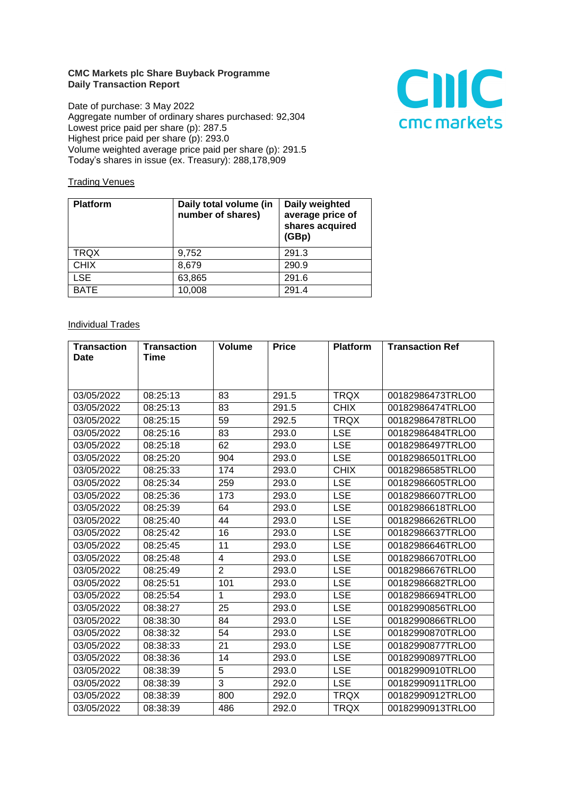## **CMC Markets plc Share Buyback Programme Daily Transaction Report**

Date of purchase: 3 May 2022 Aggregate number of ordinary shares purchased: 92,304 Lowest price paid per share (p): 287.5 Highest price paid per share (p): 293.0 Volume weighted average price paid per share (p): 291.5 Today's shares in issue (ex. Treasury): 288,178,909



## **Trading Venues**

| <b>Platform</b> | Daily total volume (in<br>number of shares) | Daily weighted<br>average price of<br>shares acquired<br>(GBp) |
|-----------------|---------------------------------------------|----------------------------------------------------------------|
| <b>TRQX</b>     | 9,752                                       | 291.3                                                          |
| <b>CHIX</b>     | 8,679                                       | 290.9                                                          |
| <b>LSE</b>      | 63,865                                      | 291.6                                                          |
| <b>BATE</b>     | 10,008                                      | 291.4                                                          |

## **Individual Trades**

| <b>Transaction</b> | <b>Transaction</b> | <b>Volume</b>  | <b>Price</b> | <b>Platform</b> | <b>Transaction Ref</b> |
|--------------------|--------------------|----------------|--------------|-----------------|------------------------|
| <b>Date</b>        | Time               |                |              |                 |                        |
|                    |                    |                |              |                 |                        |
| 03/05/2022         | 08:25:13           | 83             | 291.5        | <b>TRQX</b>     | 00182986473TRLO0       |
| 03/05/2022         | 08:25:13           | 83             | 291.5        | <b>CHIX</b>     | 00182986474TRLO0       |
| 03/05/2022         | 08:25:15           | 59             | 292.5        | <b>TRQX</b>     | 00182986478TRLO0       |
| 03/05/2022         | 08:25:16           | 83             | 293.0        | <b>LSE</b>      | 00182986484TRLO0       |
| 03/05/2022         | 08:25:18           | 62             | 293.0        | <b>LSE</b>      | 00182986497TRLO0       |
| 03/05/2022         | 08:25:20           | 904            | 293.0        | <b>LSE</b>      | 00182986501TRLO0       |
| 03/05/2022         | 08:25:33           | 174            | 293.0        | <b>CHIX</b>     | 00182986585TRLO0       |
| 03/05/2022         | 08:25:34           | 259            | 293.0        | <b>LSE</b>      | 00182986605TRLO0       |
| 03/05/2022         | 08:25:36           | 173            | 293.0        | <b>LSE</b>      | 00182986607TRLO0       |
| 03/05/2022         | 08:25:39           | 64             | 293.0        | <b>LSE</b>      | 00182986618TRLO0       |
| 03/05/2022         | 08:25:40           | 44             | 293.0        | <b>LSE</b>      | 00182986626TRLO0       |
| 03/05/2022         | 08:25:42           | 16             | 293.0        | <b>LSE</b>      | 00182986637TRLO0       |
| 03/05/2022         | 08:25:45           | 11             | 293.0        | <b>LSE</b>      | 00182986646TRLO0       |
| 03/05/2022         | 08:25:48           | 4              | 293.0        | <b>LSE</b>      | 00182986670TRLO0       |
| 03/05/2022         | 08:25:49           | $\overline{2}$ | 293.0        | <b>LSE</b>      | 00182986676TRLO0       |
| 03/05/2022         | 08:25:51           | 101            | 293.0        | <b>LSE</b>      | 00182986682TRLO0       |
| 03/05/2022         | 08:25:54           | 1              | 293.0        | <b>LSE</b>      | 00182986694TRLO0       |
| 03/05/2022         | 08:38:27           | 25             | 293.0        | <b>LSE</b>      | 00182990856TRLO0       |
| 03/05/2022         | 08:38:30           | 84             | 293.0        | <b>LSE</b>      | 00182990866TRLO0       |
| 03/05/2022         | 08:38:32           | 54             | 293.0        | <b>LSE</b>      | 00182990870TRLO0       |
| 03/05/2022         | 08:38:33           | 21             | 293.0        | <b>LSE</b>      | 00182990877TRLO0       |
| 03/05/2022         | 08:38:36           | 14             | 293.0        | <b>LSE</b>      | 00182990897TRLO0       |
| 03/05/2022         | 08:38:39           | 5              | 293.0        | <b>LSE</b>      | 00182990910TRLO0       |
| 03/05/2022         | 08:38:39           | 3              | 292.0        | <b>LSE</b>      | 00182990911TRLO0       |
| 03/05/2022         | 08:38:39           | 800            | 292.0        | <b>TRQX</b>     | 00182990912TRLO0       |
| 03/05/2022         | 08:38:39           | 486            | 292.0        | <b>TRQX</b>     | 00182990913TRLO0       |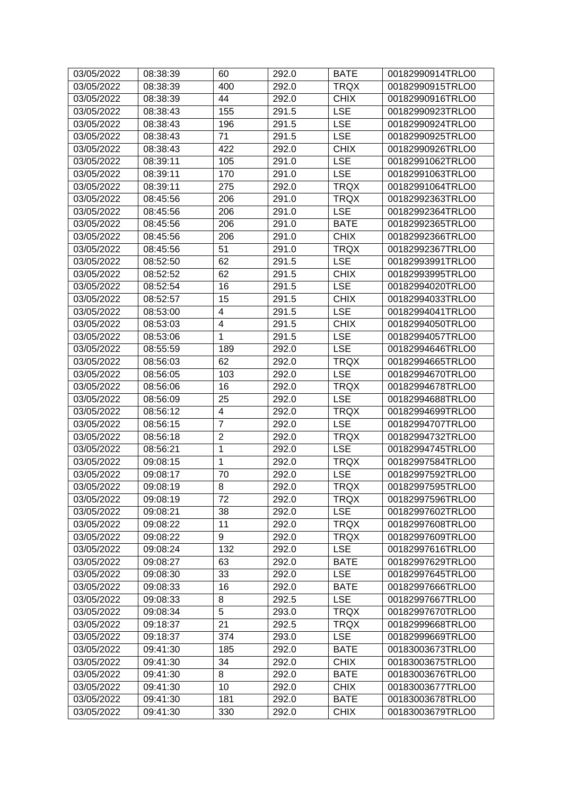| 03/05/2022 | 08:38:39 | 60             | 292.0 | <b>BATE</b> | 00182990914TRLO0 |
|------------|----------|----------------|-------|-------------|------------------|
| 03/05/2022 | 08:38:39 | 400            | 292.0 | <b>TRQX</b> | 00182990915TRLO0 |
| 03/05/2022 | 08:38:39 | 44             | 292.0 | <b>CHIX</b> | 00182990916TRLO0 |
| 03/05/2022 | 08:38:43 | 155            | 291.5 | <b>LSE</b>  | 00182990923TRLO0 |
| 03/05/2022 | 08:38:43 | 196            | 291.5 | <b>LSE</b>  | 00182990924TRLO0 |
| 03/05/2022 | 08:38:43 | 71             | 291.5 | <b>LSE</b>  | 00182990925TRLO0 |
| 03/05/2022 | 08:38:43 | 422            | 292.0 | <b>CHIX</b> | 00182990926TRLO0 |
| 03/05/2022 | 08:39:11 | 105            | 291.0 | <b>LSE</b>  | 00182991062TRLO0 |
| 03/05/2022 | 08:39:11 | 170            | 291.0 | <b>LSE</b>  | 00182991063TRLO0 |
| 03/05/2022 | 08:39:11 | 275            | 292.0 | <b>TRQX</b> | 00182991064TRLO0 |
| 03/05/2022 | 08:45:56 | 206            | 291.0 | <b>TRQX</b> | 00182992363TRLO0 |
| 03/05/2022 | 08:45:56 | 206            | 291.0 | <b>LSE</b>  | 00182992364TRLO0 |
| 03/05/2022 | 08:45:56 | 206            | 291.0 | <b>BATE</b> | 00182992365TRLO0 |
| 03/05/2022 | 08:45:56 | 206            | 291.0 | <b>CHIX</b> | 00182992366TRLO0 |
| 03/05/2022 | 08:45:56 | 51             | 291.0 | <b>TRQX</b> | 00182992367TRLO0 |
| 03/05/2022 | 08:52:50 | 62             | 291.5 | <b>LSE</b>  | 00182993991TRLO0 |
| 03/05/2022 | 08:52:52 | 62             | 291.5 | <b>CHIX</b> | 00182993995TRLO0 |
| 03/05/2022 | 08:52:54 | 16             | 291.5 | <b>LSE</b>  | 00182994020TRLO0 |
| 03/05/2022 | 08:52:57 | 15             | 291.5 | <b>CHIX</b> | 00182994033TRLO0 |
| 03/05/2022 | 08:53:00 | 4              | 291.5 | <b>LSE</b>  | 00182994041TRLO0 |
| 03/05/2022 | 08:53:03 | 4              | 291.5 | <b>CHIX</b> | 00182994050TRLO0 |
| 03/05/2022 | 08:53:06 | $\mathbf{1}$   | 291.5 | <b>LSE</b>  | 00182994057TRLO0 |
| 03/05/2022 | 08:55:59 | 189            | 292.0 | <b>LSE</b>  | 00182994646TRLO0 |
| 03/05/2022 | 08:56:03 | 62             | 292.0 | <b>TRQX</b> | 00182994665TRLO0 |
| 03/05/2022 | 08:56:05 | 103            | 292.0 | <b>LSE</b>  | 00182994670TRLO0 |
| 03/05/2022 | 08:56:06 | 16             | 292.0 | <b>TRQX</b> | 00182994678TRLO0 |
| 03/05/2022 | 08:56:09 | 25             | 292.0 | <b>LSE</b>  | 00182994688TRLO0 |
| 03/05/2022 | 08:56:12 | 4              | 292.0 | <b>TRQX</b> | 00182994699TRLO0 |
| 03/05/2022 | 08:56:15 | $\overline{7}$ | 292.0 | <b>LSE</b>  | 00182994707TRLO0 |
| 03/05/2022 | 08:56:18 | $\overline{2}$ | 292.0 | <b>TRQX</b> | 00182994732TRLO0 |
| 03/05/2022 | 08:56:21 | $\mathbf{1}$   | 292.0 | <b>LSE</b>  | 00182994745TRLO0 |
| 03/05/2022 | 09:08:15 | $\mathbf{1}$   | 292.0 | <b>TRQX</b> | 00182997584TRLO0 |
| 03/05/2022 | 09:08:17 | 70             | 292.0 | <b>LSE</b>  | 00182997592TRLO0 |
| 03/05/2022 | 09:08:19 | 8              | 292.0 | <b>TRQX</b> | 00182997595TRLO0 |
| 03/05/2022 | 09:08:19 | 72             | 292.0 | <b>TRQX</b> | 00182997596TRLO0 |
| 03/05/2022 | 09:08:21 | 38             | 292.0 | <b>LSE</b>  | 00182997602TRLO0 |
| 03/05/2022 | 09:08:22 | 11             | 292.0 | <b>TRQX</b> | 00182997608TRLO0 |
| 03/05/2022 | 09:08:22 | 9              | 292.0 | <b>TRQX</b> | 00182997609TRLO0 |
| 03/05/2022 | 09:08:24 | 132            | 292.0 | <b>LSE</b>  | 00182997616TRLO0 |
| 03/05/2022 | 09:08:27 | 63             | 292.0 | <b>BATE</b> | 00182997629TRLO0 |
| 03/05/2022 | 09:08:30 | 33             | 292.0 | <b>LSE</b>  | 00182997645TRLO0 |
| 03/05/2022 | 09:08:33 | 16             | 292.0 | <b>BATE</b> | 00182997666TRLO0 |
| 03/05/2022 | 09:08:33 | 8              | 292.5 | <b>LSE</b>  | 00182997667TRLO0 |
| 03/05/2022 | 09:08:34 | $\overline{5}$ | 293.0 | <b>TRQX</b> | 00182997670TRLO0 |
| 03/05/2022 | 09:18:37 | 21             | 292.5 | <b>TRQX</b> | 00182999668TRLO0 |
| 03/05/2022 | 09:18:37 | 374            | 293.0 | <b>LSE</b>  | 00182999669TRLO0 |
| 03/05/2022 | 09:41:30 | 185            | 292.0 | <b>BATE</b> | 00183003673TRLO0 |
| 03/05/2022 | 09:41:30 | 34             | 292.0 | <b>CHIX</b> | 00183003675TRLO0 |
| 03/05/2022 | 09:41:30 | 8              | 292.0 | <b>BATE</b> | 00183003676TRLO0 |
| 03/05/2022 | 09:41:30 | 10             | 292.0 | <b>CHIX</b> | 00183003677TRLO0 |
| 03/05/2022 | 09:41:30 | 181            | 292.0 | <b>BATE</b> | 00183003678TRLO0 |
| 03/05/2022 | 09:41:30 | 330            | 292.0 | <b>CHIX</b> | 00183003679TRLO0 |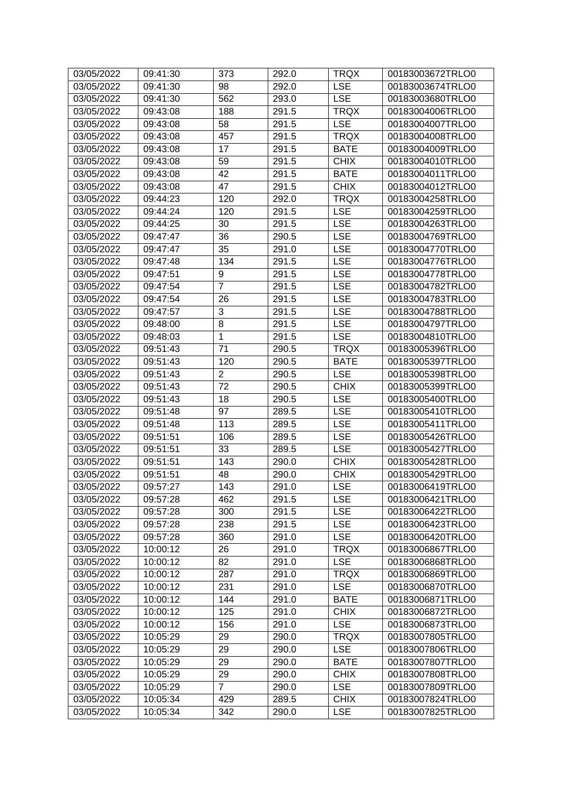| 03/05/2022 | 09:41:30 | 373            | 292.0 | <b>TRQX</b> | 00183003672TRLO0 |
|------------|----------|----------------|-------|-------------|------------------|
| 03/05/2022 | 09:41:30 | 98             | 292.0 | <b>LSE</b>  | 00183003674TRLO0 |
| 03/05/2022 | 09:41:30 | 562            | 293.0 | <b>LSE</b>  | 00183003680TRLO0 |
| 03/05/2022 | 09:43:08 | 188            | 291.5 | <b>TRQX</b> | 00183004006TRLO0 |
| 03/05/2022 | 09:43:08 | 58             | 291.5 | <b>LSE</b>  | 00183004007TRLO0 |
| 03/05/2022 | 09:43:08 | 457            | 291.5 | <b>TRQX</b> | 00183004008TRLO0 |
| 03/05/2022 | 09:43:08 | 17             | 291.5 | <b>BATE</b> | 00183004009TRLO0 |
| 03/05/2022 | 09:43:08 | 59             | 291.5 | <b>CHIX</b> | 00183004010TRLO0 |
| 03/05/2022 | 09:43:08 | 42             | 291.5 | <b>BATE</b> | 00183004011TRLO0 |
| 03/05/2022 | 09:43:08 | 47             | 291.5 | <b>CHIX</b> | 00183004012TRLO0 |
| 03/05/2022 | 09:44:23 | 120            | 292.0 | <b>TRQX</b> | 00183004258TRLO0 |
| 03/05/2022 | 09:44:24 | 120            | 291.5 | <b>LSE</b>  | 00183004259TRLO0 |
| 03/05/2022 | 09:44:25 | 30             | 291.5 | <b>LSE</b>  | 00183004263TRLO0 |
| 03/05/2022 | 09:47:47 | 36             | 290.5 | <b>LSE</b>  | 00183004769TRLO0 |
| 03/05/2022 | 09:47:47 | 35             | 291.0 | <b>LSE</b>  | 00183004770TRLO0 |
| 03/05/2022 | 09:47:48 | 134            | 291.5 | <b>LSE</b>  | 00183004776TRLO0 |
| 03/05/2022 | 09:47:51 | 9              | 291.5 | <b>LSE</b>  | 00183004778TRLO0 |
| 03/05/2022 | 09:47:54 | $\overline{7}$ | 291.5 | <b>LSE</b>  | 00183004782TRLO0 |
| 03/05/2022 | 09:47:54 | 26             | 291.5 | <b>LSE</b>  | 00183004783TRLO0 |
| 03/05/2022 | 09:47:57 | 3              | 291.5 | <b>LSE</b>  | 00183004788TRLO0 |
| 03/05/2022 | 09:48:00 | 8              | 291.5 | <b>LSE</b>  | 00183004797TRLO0 |
| 03/05/2022 | 09:48:03 | $\mathbf{1}$   | 291.5 | <b>LSE</b>  | 00183004810TRLO0 |
| 03/05/2022 | 09:51:43 | 71             | 290.5 | <b>TRQX</b> | 00183005396TRLO0 |
| 03/05/2022 | 09:51:43 | 120            | 290.5 | <b>BATE</b> | 00183005397TRLO0 |
| 03/05/2022 | 09:51:43 | $\sqrt{2}$     | 290.5 | <b>LSE</b>  | 00183005398TRLO0 |
| 03/05/2022 | 09:51:43 | 72             | 290.5 | <b>CHIX</b> | 00183005399TRLO0 |
| 03/05/2022 | 09:51:43 | 18             | 290.5 | <b>LSE</b>  | 00183005400TRLO0 |
| 03/05/2022 | 09:51:48 | 97             | 289.5 | <b>LSE</b>  | 00183005410TRLO0 |
| 03/05/2022 | 09:51:48 | 113            | 289.5 | <b>LSE</b>  | 00183005411TRLO0 |
| 03/05/2022 | 09:51:51 | 106            | 289.5 | <b>LSE</b>  | 00183005426TRLO0 |
| 03/05/2022 | 09:51:51 | 33             | 289.5 | <b>LSE</b>  | 00183005427TRLO0 |
| 03/05/2022 | 09:51:51 | 143            | 290.0 | <b>CHIX</b> | 00183005428TRLO0 |
| 03/05/2022 | 09:51:51 | 48             | 290.0 | <b>CHIX</b> | 00183005429TRLO0 |
| 03/05/2022 | 09:57:27 | 143            | 291.0 | <b>LSE</b>  | 00183006419TRLO0 |
| 03/05/2022 | 09:57:28 | 462            | 291.5 | <b>LSE</b>  | 00183006421TRLO0 |
| 03/05/2022 | 09:57:28 | 300            | 291.5 | <b>LSE</b>  | 00183006422TRLO0 |
| 03/05/2022 | 09:57:28 | 238            | 291.5 | <b>LSE</b>  | 00183006423TRLO0 |
| 03/05/2022 | 09:57:28 | 360            | 291.0 | <b>LSE</b>  | 00183006420TRLO0 |
| 03/05/2022 | 10:00:12 | 26             | 291.0 | <b>TRQX</b> | 00183006867TRLO0 |
| 03/05/2022 | 10:00:12 | 82             | 291.0 | <b>LSE</b>  | 00183006868TRLO0 |
| 03/05/2022 | 10:00:12 | 287            | 291.0 | <b>TRQX</b> | 00183006869TRLO0 |
| 03/05/2022 | 10:00:12 | 231            | 291.0 | <b>LSE</b>  | 00183006870TRLO0 |
| 03/05/2022 | 10:00:12 | 144            | 291.0 | <b>BATE</b> | 00183006871TRLO0 |
| 03/05/2022 | 10:00:12 | 125            | 291.0 | <b>CHIX</b> | 00183006872TRLO0 |
| 03/05/2022 | 10:00:12 | 156            | 291.0 | <b>LSE</b>  | 00183006873TRLO0 |
| 03/05/2022 | 10:05:29 | 29             | 290.0 | <b>TRQX</b> | 00183007805TRLO0 |
| 03/05/2022 | 10:05:29 | 29             | 290.0 | <b>LSE</b>  | 00183007806TRLO0 |
| 03/05/2022 | 10:05:29 | 29             | 290.0 | <b>BATE</b> | 00183007807TRLO0 |
| 03/05/2022 | 10:05:29 | 29             | 290.0 | <b>CHIX</b> | 00183007808TRLO0 |
| 03/05/2022 | 10:05:29 | $\overline{7}$ | 290.0 | <b>LSE</b>  | 00183007809TRLO0 |
| 03/05/2022 | 10:05:34 | 429            | 289.5 | <b>CHIX</b> | 00183007824TRLO0 |
| 03/05/2022 | 10:05:34 | 342            | 290.0 | <b>LSE</b>  | 00183007825TRLO0 |
|            |          |                |       |             |                  |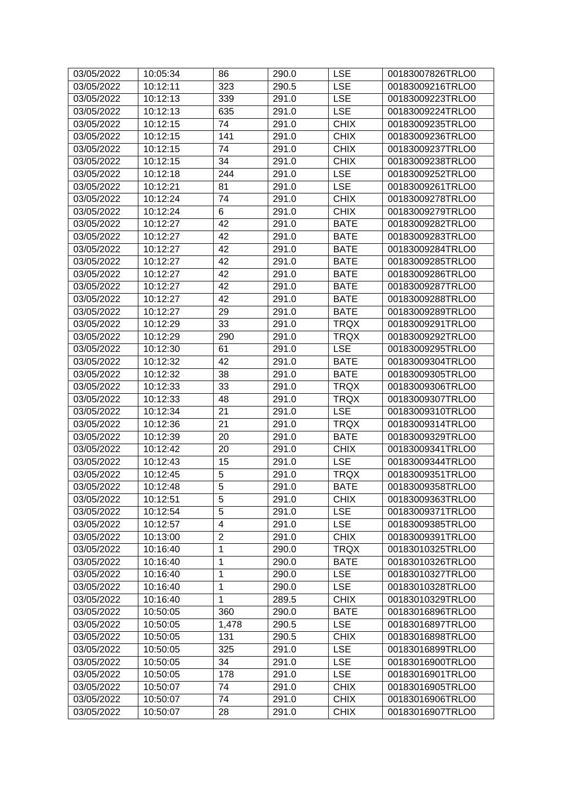| 03/05/2022 | 10:05:34 | 86                      | 290.0 | <b>LSE</b>  | 00183007826TRLO0 |
|------------|----------|-------------------------|-------|-------------|------------------|
| 03/05/2022 | 10:12:11 | 323                     | 290.5 | <b>LSE</b>  | 00183009216TRLO0 |
| 03/05/2022 | 10:12:13 | 339                     | 291.0 | <b>LSE</b>  | 00183009223TRLO0 |
| 03/05/2022 | 10:12:13 | 635                     | 291.0 | <b>LSE</b>  | 00183009224TRLO0 |
| 03/05/2022 | 10:12:15 | 74                      | 291.0 | <b>CHIX</b> | 00183009235TRLO0 |
| 03/05/2022 | 10:12:15 | 141                     | 291.0 | <b>CHIX</b> | 00183009236TRLO0 |
| 03/05/2022 | 10:12:15 | 74                      | 291.0 | <b>CHIX</b> | 00183009237TRLO0 |
| 03/05/2022 | 10:12:15 | 34                      | 291.0 | <b>CHIX</b> | 00183009238TRLO0 |
| 03/05/2022 | 10:12:18 | 244                     | 291.0 | <b>LSE</b>  | 00183009252TRLO0 |
| 03/05/2022 | 10:12:21 | 81                      | 291.0 | <b>LSE</b>  | 00183009261TRLO0 |
| 03/05/2022 | 10:12:24 | 74                      | 291.0 | <b>CHIX</b> | 00183009278TRLO0 |
| 03/05/2022 | 10:12:24 | 6                       | 291.0 | <b>CHIX</b> | 00183009279TRLO0 |
| 03/05/2022 | 10:12:27 | 42                      | 291.0 | <b>BATE</b> | 00183009282TRLO0 |
| 03/05/2022 | 10:12:27 | 42                      | 291.0 | <b>BATE</b> | 00183009283TRLO0 |
| 03/05/2022 | 10:12:27 | 42                      | 291.0 | <b>BATE</b> | 00183009284TRLO0 |
| 03/05/2022 | 10:12:27 | 42                      | 291.0 | <b>BATE</b> | 00183009285TRLO0 |
| 03/05/2022 | 10:12:27 | 42                      | 291.0 | <b>BATE</b> | 00183009286TRLO0 |
| 03/05/2022 | 10:12:27 | 42                      | 291.0 | <b>BATE</b> | 00183009287TRLO0 |
| 03/05/2022 | 10:12:27 | 42                      | 291.0 | <b>BATE</b> | 00183009288TRLO0 |
| 03/05/2022 | 10:12:27 | 29                      | 291.0 | <b>BATE</b> | 00183009289TRLO0 |
| 03/05/2022 | 10:12:29 | 33                      | 291.0 | <b>TRQX</b> | 00183009291TRLO0 |
| 03/05/2022 | 10:12:29 | 290                     | 291.0 | <b>TRQX</b> | 00183009292TRLO0 |
| 03/05/2022 | 10:12:30 | 61                      | 291.0 | <b>LSE</b>  | 00183009295TRLO0 |
| 03/05/2022 | 10:12:32 | 42                      | 291.0 | <b>BATE</b> | 00183009304TRLO0 |
| 03/05/2022 | 10:12:32 | 38                      | 291.0 | <b>BATE</b> | 00183009305TRLO0 |
| 03/05/2022 | 10:12:33 | 33                      | 291.0 | <b>TRQX</b> | 00183009306TRLO0 |
| 03/05/2022 | 10:12:33 | 48                      | 291.0 | <b>TRQX</b> | 00183009307TRLO0 |
| 03/05/2022 | 10:12:34 | 21                      | 291.0 | <b>LSE</b>  | 00183009310TRLO0 |
| 03/05/2022 | 10:12:36 | 21                      | 291.0 | <b>TRQX</b> | 00183009314TRLO0 |
| 03/05/2022 | 10:12:39 | 20                      | 291.0 | <b>BATE</b> | 00183009329TRLO0 |
| 03/05/2022 | 10:12:42 | 20                      | 291.0 | <b>CHIX</b> | 00183009341TRLO0 |
| 03/05/2022 | 10:12:43 | 15                      | 291.0 | <b>LSE</b>  | 00183009344TRLO0 |
| 03/05/2022 | 10:12:45 | 5                       | 291.0 | <b>TRQX</b> | 00183009351TRLO0 |
| 03/05/2022 | 10:12:48 | $\overline{5}$          | 291.0 | <b>BATE</b> | 00183009358TRLO0 |
| 03/05/2022 | 10:12:51 | 5                       | 291.0 | <b>CHIX</b> | 00183009363TRLO0 |
| 03/05/2022 | 10:12:54 | 5                       | 291.0 | <b>LSE</b>  | 00183009371TRLO0 |
| 03/05/2022 | 10:12:57 | $\overline{\mathbf{4}}$ | 291.0 | <b>LSE</b>  | 00183009385TRLO0 |
| 03/05/2022 | 10:13:00 | $\overline{2}$          | 291.0 | <b>CHIX</b> | 00183009391TRLO0 |
| 03/05/2022 | 10:16:40 | 1                       | 290.0 | <b>TRQX</b> | 00183010325TRLO0 |
| 03/05/2022 | 10:16:40 | 1                       | 290.0 | <b>BATE</b> | 00183010326TRLO0 |
| 03/05/2022 | 10:16:40 | $\mathbf{1}$            | 290.0 | <b>LSE</b>  | 00183010327TRLO0 |
| 03/05/2022 | 10:16:40 | 1                       | 290.0 | <b>LSE</b>  | 00183010328TRLO0 |
| 03/05/2022 | 10:16:40 | $\mathbf{1}$            | 289.5 | <b>CHIX</b> | 00183010329TRLO0 |
| 03/05/2022 | 10:50:05 | 360                     | 290.0 | <b>BATE</b> | 00183016896TRLO0 |
| 03/05/2022 | 10:50:05 | 1,478                   | 290.5 | <b>LSE</b>  | 00183016897TRLO0 |
| 03/05/2022 | 10:50:05 | 131                     | 290.5 | <b>CHIX</b> | 00183016898TRLO0 |
| 03/05/2022 | 10:50:05 | 325                     | 291.0 | <b>LSE</b>  | 00183016899TRLO0 |
| 03/05/2022 | 10:50:05 | 34                      | 291.0 | <b>LSE</b>  | 00183016900TRLO0 |
| 03/05/2022 | 10:50:05 | 178                     | 291.0 | <b>LSE</b>  | 00183016901TRLO0 |
| 03/05/2022 | 10:50:07 | 74                      | 291.0 | <b>CHIX</b> | 00183016905TRLO0 |
| 03/05/2022 | 10:50:07 | 74                      | 291.0 | <b>CHIX</b> | 00183016906TRLO0 |
| 03/05/2022 | 10:50:07 | 28                      | 291.0 | <b>CHIX</b> | 00183016907TRLO0 |
|            |          |                         |       |             |                  |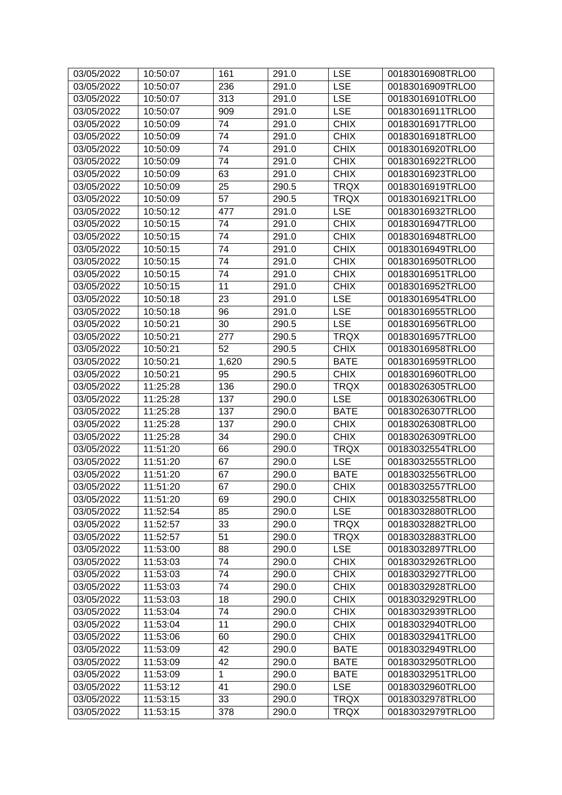| 03/05/2022 | 10:50:07 | 161          | 291.0 | <b>LSE</b>  | 00183016908TRLO0 |
|------------|----------|--------------|-------|-------------|------------------|
| 03/05/2022 | 10:50:07 | 236          | 291.0 | <b>LSE</b>  | 00183016909TRLO0 |
| 03/05/2022 | 10:50:07 | 313          | 291.0 | <b>LSE</b>  | 00183016910TRLO0 |
| 03/05/2022 | 10:50:07 | 909          | 291.0 | <b>LSE</b>  | 00183016911TRLO0 |
| 03/05/2022 | 10:50:09 | 74           | 291.0 | <b>CHIX</b> | 00183016917TRLO0 |
| 03/05/2022 | 10:50:09 | 74           | 291.0 | <b>CHIX</b> | 00183016918TRLO0 |
| 03/05/2022 | 10:50:09 | 74           | 291.0 | <b>CHIX</b> | 00183016920TRLO0 |
| 03/05/2022 | 10:50:09 | 74           | 291.0 | <b>CHIX</b> | 00183016922TRLO0 |
| 03/05/2022 | 10:50:09 | 63           | 291.0 | <b>CHIX</b> | 00183016923TRLO0 |
| 03/05/2022 | 10:50:09 | 25           | 290.5 | <b>TRQX</b> | 00183016919TRLO0 |
| 03/05/2022 | 10:50:09 | 57           | 290.5 | <b>TRQX</b> | 00183016921TRLO0 |
| 03/05/2022 | 10:50:12 | 477          | 291.0 | <b>LSE</b>  | 00183016932TRLO0 |
| 03/05/2022 | 10:50:15 | 74           | 291.0 | <b>CHIX</b> | 00183016947TRLO0 |
| 03/05/2022 | 10:50:15 | 74           | 291.0 | <b>CHIX</b> | 00183016948TRLO0 |
| 03/05/2022 | 10:50:15 | 74           | 291.0 | <b>CHIX</b> | 00183016949TRLO0 |
| 03/05/2022 | 10:50:15 | 74           | 291.0 | <b>CHIX</b> | 00183016950TRLO0 |
| 03/05/2022 | 10:50:15 | 74           | 291.0 | <b>CHIX</b> | 00183016951TRLO0 |
| 03/05/2022 | 10:50:15 | 11           | 291.0 | <b>CHIX</b> | 00183016952TRLO0 |
| 03/05/2022 | 10:50:18 | 23           | 291.0 | <b>LSE</b>  | 00183016954TRLO0 |
| 03/05/2022 | 10:50:18 | 96           | 291.0 | <b>LSE</b>  | 00183016955TRLO0 |
| 03/05/2022 | 10:50:21 | 30           | 290.5 | <b>LSE</b>  | 00183016956TRLO0 |
| 03/05/2022 | 10:50:21 | 277          | 290.5 | <b>TRQX</b> | 00183016957TRLO0 |
| 03/05/2022 | 10:50:21 | 52           | 290.5 | <b>CHIX</b> | 00183016958TRLO0 |
| 03/05/2022 | 10:50:21 | 1,620        | 290.5 | <b>BATE</b> | 00183016959TRLO0 |
| 03/05/2022 | 10:50:21 | 95           | 290.5 | <b>CHIX</b> | 00183016960TRLO0 |
| 03/05/2022 | 11:25:28 | 136          | 290.0 | <b>TRQX</b> | 00183026305TRLO0 |
| 03/05/2022 | 11:25:28 | 137          | 290.0 | <b>LSE</b>  | 00183026306TRLO0 |
| 03/05/2022 | 11:25:28 | 137          | 290.0 | <b>BATE</b> | 00183026307TRLO0 |
| 03/05/2022 | 11:25:28 | 137          | 290.0 | <b>CHIX</b> | 00183026308TRLO0 |
| 03/05/2022 | 11:25:28 | 34           | 290.0 | <b>CHIX</b> | 00183026309TRLO0 |
| 03/05/2022 | 11:51:20 | 66           | 290.0 | <b>TRQX</b> | 00183032554TRLO0 |
| 03/05/2022 | 11:51:20 | 67           | 290.0 | <b>LSE</b>  | 00183032555TRLO0 |
| 03/05/2022 | 11:51:20 | 67           | 290.0 | <b>BATE</b> | 00183032556TRLO0 |
| 03/05/2022 | 11:51:20 | 67           | 290.0 | <b>CHIX</b> | 00183032557TRLO0 |
| 03/05/2022 | 11:51:20 | 69           | 290.0 | <b>CHIX</b> | 00183032558TRLO0 |
| 03/05/2022 | 11:52:54 | 85           | 290.0 | <b>LSE</b>  | 00183032880TRLO0 |
| 03/05/2022 | 11:52:57 | 33           | 290.0 | <b>TRQX</b> | 00183032882TRLO0 |
| 03/05/2022 | 11:52:57 | 51           | 290.0 | <b>TRQX</b> | 00183032883TRLO0 |
| 03/05/2022 | 11:53:00 | 88           | 290.0 | <b>LSE</b>  | 00183032897TRLO0 |
| 03/05/2022 | 11:53:03 | 74           | 290.0 | <b>CHIX</b> | 00183032926TRLO0 |
| 03/05/2022 | 11:53:03 | 74           | 290.0 | <b>CHIX</b> | 00183032927TRLO0 |
| 03/05/2022 | 11:53:03 | 74           | 290.0 | <b>CHIX</b> | 00183032928TRLO0 |
| 03/05/2022 | 11:53:03 | 18           | 290.0 | <b>CHIX</b> | 00183032929TRLO0 |
| 03/05/2022 | 11:53:04 | 74           | 290.0 | <b>CHIX</b> | 00183032939TRLO0 |
| 03/05/2022 | 11:53:04 | 11           | 290.0 | <b>CHIX</b> | 00183032940TRLO0 |
| 03/05/2022 | 11:53:06 | 60           | 290.0 | <b>CHIX</b> | 00183032941TRLO0 |
| 03/05/2022 | 11:53:09 | 42           | 290.0 | <b>BATE</b> | 00183032949TRLO0 |
| 03/05/2022 | 11:53:09 | 42           | 290.0 | <b>BATE</b> | 00183032950TRLO0 |
| 03/05/2022 | 11:53:09 | $\mathbf{1}$ | 290.0 | <b>BATE</b> | 00183032951TRLO0 |
| 03/05/2022 | 11:53:12 | 41           | 290.0 | <b>LSE</b>  | 00183032960TRLO0 |
| 03/05/2022 | 11:53:15 | 33           | 290.0 | <b>TRQX</b> | 00183032978TRLO0 |
| 03/05/2022 | 11:53:15 | 378          | 290.0 | <b>TRQX</b> | 00183032979TRLO0 |
|            |          |              |       |             |                  |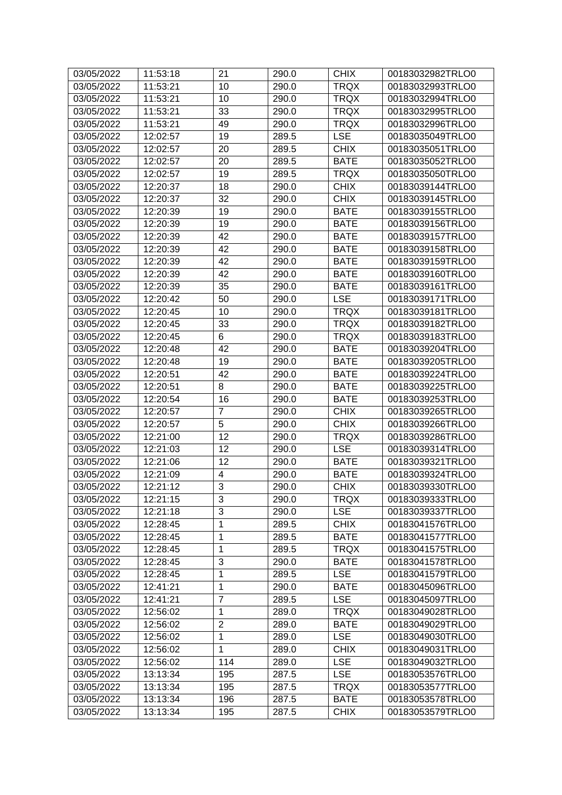| 03/05/2022 | 11:53:18 | 21             | 290.0 | <b>CHIX</b> | 00183032982TRLO0 |
|------------|----------|----------------|-------|-------------|------------------|
| 03/05/2022 | 11:53:21 | 10             | 290.0 | <b>TRQX</b> | 00183032993TRLO0 |
| 03/05/2022 | 11:53:21 | 10             | 290.0 | <b>TRQX</b> | 00183032994TRLO0 |
| 03/05/2022 | 11:53:21 | 33             | 290.0 | <b>TRQX</b> | 00183032995TRLO0 |
| 03/05/2022 | 11:53:21 | 49             | 290.0 | <b>TRQX</b> | 00183032996TRLO0 |
| 03/05/2022 | 12:02:57 | 19             | 289.5 | <b>LSE</b>  | 00183035049TRLO0 |
| 03/05/2022 | 12:02:57 | 20             | 289.5 | <b>CHIX</b> | 00183035051TRLO0 |
| 03/05/2022 | 12:02:57 | 20             | 289.5 | <b>BATE</b> | 00183035052TRLO0 |
| 03/05/2022 | 12:02:57 | 19             | 289.5 | <b>TRQX</b> | 00183035050TRLO0 |
| 03/05/2022 | 12:20:37 | 18             | 290.0 | <b>CHIX</b> | 00183039144TRLO0 |
| 03/05/2022 | 12:20:37 | 32             | 290.0 | <b>CHIX</b> | 00183039145TRLO0 |
| 03/05/2022 | 12:20:39 | 19             | 290.0 | <b>BATE</b> | 00183039155TRLO0 |
| 03/05/2022 | 12:20:39 | 19             | 290.0 | <b>BATE</b> | 00183039156TRLO0 |
| 03/05/2022 | 12:20:39 | 42             | 290.0 | <b>BATE</b> | 00183039157TRLO0 |
| 03/05/2022 | 12:20:39 | 42             | 290.0 | <b>BATE</b> | 00183039158TRLO0 |
| 03/05/2022 | 12:20:39 | 42             | 290.0 | <b>BATE</b> | 00183039159TRLO0 |
| 03/05/2022 | 12:20:39 | 42             | 290.0 | <b>BATE</b> | 00183039160TRLO0 |
| 03/05/2022 | 12:20:39 | 35             | 290.0 | <b>BATE</b> | 00183039161TRLO0 |
| 03/05/2022 | 12:20:42 | 50             | 290.0 | <b>LSE</b>  | 00183039171TRLO0 |
| 03/05/2022 | 12:20:45 | 10             | 290.0 | <b>TRQX</b> | 00183039181TRLO0 |
| 03/05/2022 | 12:20:45 | 33             | 290.0 | <b>TRQX</b> | 00183039182TRLO0 |
| 03/05/2022 | 12:20:45 | 6              | 290.0 | <b>TRQX</b> | 00183039183TRLO0 |
| 03/05/2022 | 12:20:48 | 42             | 290.0 | <b>BATE</b> | 00183039204TRLO0 |
| 03/05/2022 | 12:20:48 | 19             | 290.0 | <b>BATE</b> | 00183039205TRLO0 |
| 03/05/2022 | 12:20:51 | 42             | 290.0 | <b>BATE</b> | 00183039224TRLO0 |
| 03/05/2022 | 12:20:51 | 8              | 290.0 | <b>BATE</b> | 00183039225TRLO0 |
| 03/05/2022 | 12:20:54 | 16             | 290.0 | <b>BATE</b> | 00183039253TRLO0 |
| 03/05/2022 | 12:20:57 | $\overline{7}$ | 290.0 | <b>CHIX</b> | 00183039265TRLO0 |
| 03/05/2022 | 12:20:57 | 5              | 290.0 | <b>CHIX</b> | 00183039266TRLO0 |
| 03/05/2022 | 12:21:00 | 12             | 290.0 | <b>TRQX</b> | 00183039286TRLO0 |
| 03/05/2022 | 12:21:03 | 12             | 290.0 | <b>LSE</b>  | 00183039314TRLO0 |
| 03/05/2022 | 12:21:06 | 12             | 290.0 | <b>BATE</b> | 00183039321TRLO0 |
| 03/05/2022 | 12:21:09 | 4              | 290.0 | <b>BATE</b> | 00183039324TRLO0 |
| 03/05/2022 | 12:21:12 | 3              | 290.0 | <b>CHIX</b> | 00183039330TRLO0 |
| 03/05/2022 | 12:21:15 | 3              | 290.0 | <b>TRQX</b> | 00183039333TRLO0 |
| 03/05/2022 | 12:21:18 | 3              | 290.0 | <b>LSE</b>  | 00183039337TRLO0 |
| 03/05/2022 | 12:28:45 | $\mathbf{1}$   | 289.5 | <b>CHIX</b> | 00183041576TRLO0 |
| 03/05/2022 | 12:28:45 | 1              | 289.5 | <b>BATE</b> | 00183041577TRLO0 |
| 03/05/2022 | 12:28:45 | $\mathbf 1$    | 289.5 | <b>TRQX</b> | 00183041575TRLO0 |
| 03/05/2022 | 12:28:45 | 3              | 290.0 | <b>BATE</b> | 00183041578TRLO0 |
| 03/05/2022 | 12:28:45 | $\mathbf{1}$   | 289.5 | <b>LSE</b>  | 00183041579TRLO0 |
| 03/05/2022 | 12:41:21 | 1              | 290.0 | <b>BATE</b> | 00183045096TRLO0 |
| 03/05/2022 | 12:41:21 | $\overline{7}$ | 289.5 | <b>LSE</b>  | 00183045097TRLO0 |
| 03/05/2022 | 12:56:02 | $\mathbf{1}$   | 289.0 | <b>TRQX</b> | 00183049028TRLO0 |
| 03/05/2022 | 12:56:02 | $\overline{c}$ | 289.0 | <b>BATE</b> | 00183049029TRLO0 |
| 03/05/2022 | 12:56:02 | $\mathbf{1}$   | 289.0 | <b>LSE</b>  | 00183049030TRLO0 |
| 03/05/2022 | 12:56:02 | $\mathbf{1}$   | 289.0 | <b>CHIX</b> | 00183049031TRLO0 |
| 03/05/2022 | 12:56:02 | 114            | 289.0 | <b>LSE</b>  | 00183049032TRLO0 |
| 03/05/2022 | 13:13:34 | 195            | 287.5 | <b>LSE</b>  | 00183053576TRLO0 |
| 03/05/2022 | 13:13:34 | 195            | 287.5 | <b>TRQX</b> | 00183053577TRLO0 |
| 03/05/2022 | 13:13:34 | 196            | 287.5 | <b>BATE</b> | 00183053578TRLO0 |
| 03/05/2022 | 13:13:34 | 195            | 287.5 | <b>CHIX</b> | 00183053579TRLO0 |
|            |          |                |       |             |                  |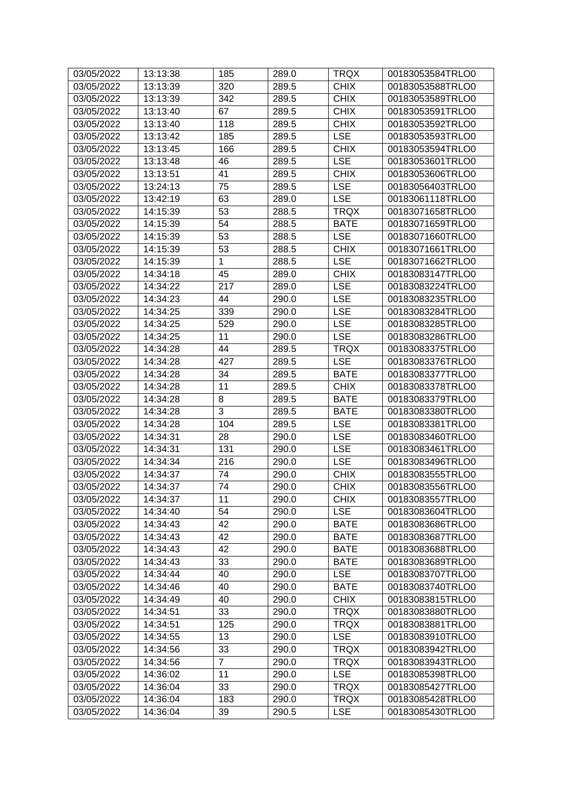| 03/05/2022 | 13:13:38 | 185            | 289.0 | TRQX               | 00183053584TRLO0 |
|------------|----------|----------------|-------|--------------------|------------------|
| 03/05/2022 | 13:13:39 | 320            | 289.5 | <b>CHIX</b>        | 00183053588TRLO0 |
| 03/05/2022 | 13:13:39 | 342            | 289.5 | <b>CHIX</b>        | 00183053589TRLO0 |
| 03/05/2022 | 13:13:40 | 67             | 289.5 | <b>CHIX</b>        | 00183053591TRLO0 |
| 03/05/2022 | 13:13:40 | 118            | 289.5 | <b>CHIX</b>        | 00183053592TRLO0 |
| 03/05/2022 | 13:13:42 | 185            | 289.5 | <b>LSE</b>         | 00183053593TRLO0 |
| 03/05/2022 | 13:13:45 | 166            | 289.5 | <b>CHIX</b>        | 00183053594TRLO0 |
| 03/05/2022 | 13:13:48 | 46             | 289.5 | <b>LSE</b>         | 00183053601TRLO0 |
| 03/05/2022 | 13:13:51 | 41             | 289.5 | <b>CHIX</b>        | 00183053606TRLO0 |
| 03/05/2022 | 13:24:13 | 75             | 289.5 | <b>LSE</b>         | 00183056403TRLO0 |
| 03/05/2022 | 13:42:19 | 63             | 289.0 | <b>LSE</b>         | 00183061118TRLO0 |
| 03/05/2022 | 14:15:39 | 53             | 288.5 | <b>TRQX</b>        | 00183071658TRLO0 |
| 03/05/2022 | 14:15:39 | 54             | 288.5 | <b>BATE</b>        | 00183071659TRLO0 |
| 03/05/2022 | 14:15:39 | 53             | 288.5 | <b>LSE</b>         | 00183071660TRLO0 |
| 03/05/2022 | 14:15:39 | 53             | 288.5 | <b>CHIX</b>        | 00183071661TRLO0 |
| 03/05/2022 | 14:15:39 | $\mathbf 1$    | 288.5 | <b>LSE</b>         | 00183071662TRLO0 |
| 03/05/2022 | 14:34:18 | 45             | 289.0 | <b>CHIX</b>        | 00183083147TRLO0 |
| 03/05/2022 | 14:34:22 | 217            | 289.0 | <b>LSE</b>         | 00183083224TRLO0 |
| 03/05/2022 | 14:34:23 | 44             | 290.0 | <b>LSE</b>         | 00183083235TRLO0 |
| 03/05/2022 | 14:34:25 | 339            | 290.0 | <b>LSE</b>         | 00183083284TRLO0 |
| 03/05/2022 | 14:34:25 | 529            | 290.0 | <b>LSE</b>         | 00183083285TRLO0 |
| 03/05/2022 | 14:34:25 | 11             | 290.0 | <b>LSE</b>         | 00183083286TRLO0 |
| 03/05/2022 | 14:34:28 | 44             | 289.5 | <b>TRQX</b>        | 00183083375TRLO0 |
| 03/05/2022 | 14:34:28 | 427            | 289.5 | <b>LSE</b>         | 00183083376TRLO0 |
| 03/05/2022 | 14:34:28 | 34             | 289.5 | <b>BATE</b>        | 00183083377TRLO0 |
| 03/05/2022 | 14:34:28 | 11             | 289.5 | <b>CHIX</b>        | 00183083378TRLO0 |
| 03/05/2022 | 14:34:28 | 8              | 289.5 | <b>BATE</b>        | 00183083379TRLO0 |
| 03/05/2022 | 14:34:28 | 3              | 289.5 | <b>BATE</b>        | 00183083380TRLO0 |
| 03/05/2022 | 14:34:28 | 104            | 289.5 | <b>LSE</b>         | 00183083381TRLO0 |
| 03/05/2022 | 14:34:31 | 28             | 290.0 | <b>LSE</b>         | 00183083460TRLO0 |
| 03/05/2022 | 14:34:31 | 131            | 290.0 | <b>LSE</b>         | 00183083461TRLO0 |
| 03/05/2022 | 14:34:34 | 216            | 290.0 | <b>LSE</b>         | 00183083496TRLO0 |
| 03/05/2022 | 14:34:37 | 74             | 290.0 | <b>CHIX</b>        | 00183083555TRLO0 |
| 03/05/2022 | 14:34:37 | $\bf 74$       | 290.0 | $\overline{C}$ HIX | 00183083556TRLO0 |
| 03/05/2022 | 14:34:37 | 11             | 290.0 | <b>CHIX</b>        | 00183083557TRLO0 |
| 03/05/2022 | 14:34:40 | 54             | 290.0 | <b>LSE</b>         | 00183083604TRLO0 |
| 03/05/2022 | 14:34:43 | 42             | 290.0 | <b>BATE</b>        | 00183083686TRLO0 |
| 03/05/2022 | 14:34:43 | 42             | 290.0 | <b>BATE</b>        | 00183083687TRLO0 |
| 03/05/2022 | 14:34:43 | 42             | 290.0 | <b>BATE</b>        | 00183083688TRLO0 |
| 03/05/2022 | 14:34:43 | 33             | 290.0 | <b>BATE</b>        | 00183083689TRLO0 |
| 03/05/2022 | 14:34:44 | 40             | 290.0 | <b>LSE</b>         | 00183083707TRLO0 |
| 03/05/2022 | 14:34:46 | 40             | 290.0 | <b>BATE</b>        | 00183083740TRLO0 |
| 03/05/2022 | 14:34:49 | 40             | 290.0 | <b>CHIX</b>        | 00183083815TRLO0 |
| 03/05/2022 | 14:34:51 | 33             | 290.0 | <b>TRQX</b>        | 00183083880TRLO0 |
| 03/05/2022 | 14:34:51 | 125            | 290.0 | <b>TRQX</b>        | 00183083881TRLO0 |
| 03/05/2022 | 14:34:55 | 13             | 290.0 | <b>LSE</b>         | 00183083910TRLO0 |
| 03/05/2022 | 14:34:56 | 33             | 290.0 | <b>TRQX</b>        | 00183083942TRLO0 |
| 03/05/2022 | 14:34:56 | $\overline{7}$ | 290.0 | <b>TRQX</b>        | 00183083943TRLO0 |
| 03/05/2022 | 14:36:02 | 11             | 290.0 | <b>LSE</b>         | 00183085398TRLO0 |
| 03/05/2022 | 14:36:04 | 33             | 290.0 | <b>TRQX</b>        | 00183085427TRLO0 |
| 03/05/2022 | 14:36:04 | 183            | 290.0 | <b>TRQX</b>        | 00183085428TRLO0 |
| 03/05/2022 | 14:36:04 | 39             | 290.5 | <b>LSE</b>         | 00183085430TRLO0 |
|            |          |                |       |                    |                  |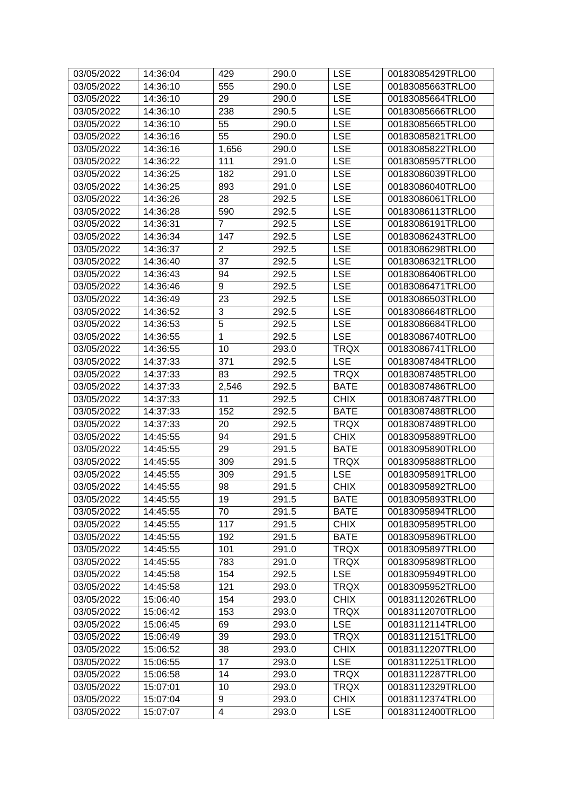| 03/05/2022 | 14:36:04 | 429            | 290.0 | <b>LSE</b>  | 00183085429TRLO0 |
|------------|----------|----------------|-------|-------------|------------------|
| 03/05/2022 | 14:36:10 | 555            | 290.0 | <b>LSE</b>  | 00183085663TRLO0 |
| 03/05/2022 | 14:36:10 | 29             | 290.0 | <b>LSE</b>  | 00183085664TRLO0 |
| 03/05/2022 | 14:36:10 | 238            | 290.5 | <b>LSE</b>  | 00183085666TRLO0 |
| 03/05/2022 | 14:36:10 | 55             | 290.0 | <b>LSE</b>  | 00183085665TRLO0 |
| 03/05/2022 | 14:36:16 | 55             | 290.0 | <b>LSE</b>  | 00183085821TRLO0 |
| 03/05/2022 | 14:36:16 | 1,656          | 290.0 | <b>LSE</b>  | 00183085822TRLO0 |
| 03/05/2022 | 14:36:22 | 111            | 291.0 | <b>LSE</b>  | 00183085957TRLO0 |
| 03/05/2022 | 14:36:25 | 182            | 291.0 | <b>LSE</b>  | 00183086039TRLO0 |
| 03/05/2022 | 14:36:25 | 893            | 291.0 | <b>LSE</b>  | 00183086040TRLO0 |
| 03/05/2022 | 14:36:26 | 28             | 292.5 | <b>LSE</b>  | 00183086061TRLO0 |
| 03/05/2022 | 14:36:28 | 590            | 292.5 | <b>LSE</b>  | 00183086113TRLO0 |
| 03/05/2022 | 14:36:31 | $\overline{7}$ | 292.5 | <b>LSE</b>  | 00183086191TRLO0 |
| 03/05/2022 | 14:36:34 | 147            | 292.5 | <b>LSE</b>  | 00183086243TRLO0 |
| 03/05/2022 | 14:36:37 | $\overline{c}$ | 292.5 | <b>LSE</b>  | 00183086298TRLO0 |
| 03/05/2022 | 14:36:40 | 37             | 292.5 | <b>LSE</b>  | 00183086321TRLO0 |
| 03/05/2022 | 14:36:43 | 94             | 292.5 | <b>LSE</b>  | 00183086406TRLO0 |
| 03/05/2022 | 14:36:46 | 9              | 292.5 | <b>LSE</b>  | 00183086471TRLO0 |
| 03/05/2022 | 14:36:49 | 23             | 292.5 | <b>LSE</b>  | 00183086503TRLO0 |
| 03/05/2022 | 14:36:52 | 3              | 292.5 | <b>LSE</b>  | 00183086648TRLO0 |
| 03/05/2022 | 14:36:53 | 5              | 292.5 | <b>LSE</b>  | 00183086684TRLO0 |
| 03/05/2022 | 14:36:55 | $\mathbf{1}$   | 292.5 | <b>LSE</b>  | 00183086740TRLO0 |
| 03/05/2022 | 14:36:55 | 10             | 293.0 | <b>TRQX</b> | 00183086741TRLO0 |
| 03/05/2022 | 14:37:33 | 371            | 292.5 | <b>LSE</b>  | 00183087484TRLO0 |
| 03/05/2022 | 14:37:33 | 83             | 292.5 | <b>TRQX</b> | 00183087485TRLO0 |
| 03/05/2022 | 14:37:33 | 2,546          | 292.5 | <b>BATE</b> | 00183087486TRLO0 |
| 03/05/2022 | 14:37:33 | 11             | 292.5 | <b>CHIX</b> | 00183087487TRLO0 |
| 03/05/2022 | 14:37:33 | 152            | 292.5 | <b>BATE</b> | 00183087488TRLO0 |
| 03/05/2022 | 14:37:33 | 20             | 292.5 | <b>TRQX</b> | 00183087489TRLO0 |
| 03/05/2022 | 14:45:55 | 94             | 291.5 | <b>CHIX</b> | 00183095889TRLO0 |
| 03/05/2022 | 14:45:55 | 29             | 291.5 | <b>BATE</b> | 00183095890TRLO0 |
| 03/05/2022 | 14:45:55 | 309            | 291.5 | <b>TRQX</b> | 00183095888TRLO0 |
| 03/05/2022 | 14:45:55 | 309            | 291.5 | <b>LSE</b>  | 00183095891TRLO0 |
| 03/05/2022 | 14:45:55 | 98             | 291.5 | <b>CHIX</b> | 00183095892TRLO0 |
| 03/05/2022 | 14:45:55 | 19             | 291.5 | <b>BATE</b> | 00183095893TRLO0 |
| 03/05/2022 | 14:45:55 | 70             | 291.5 | <b>BATE</b> | 00183095894TRLO0 |
| 03/05/2022 | 14:45:55 | 117            | 291.5 | <b>CHIX</b> | 00183095895TRLO0 |
| 03/05/2022 | 14:45:55 | 192            | 291.5 | <b>BATE</b> | 00183095896TRLO0 |
| 03/05/2022 | 14:45:55 | 101            | 291.0 | <b>TRQX</b> | 00183095897TRLO0 |
| 03/05/2022 | 14:45:55 | 783            | 291.0 | <b>TRQX</b> | 00183095898TRLO0 |
| 03/05/2022 | 14:45:58 | 154            | 292.5 | <b>LSE</b>  | 00183095949TRLO0 |
| 03/05/2022 | 14:45:58 | 121            | 293.0 | <b>TRQX</b> | 00183095952TRLO0 |
| 03/05/2022 | 15:06:40 | 154            | 293.0 | <b>CHIX</b> | 00183112026TRLO0 |
| 03/05/2022 | 15:06:42 | 153            | 293.0 | <b>TRQX</b> | 00183112070TRLO0 |
| 03/05/2022 | 15:06:45 | 69             | 293.0 | <b>LSE</b>  | 00183112114TRLO0 |
| 03/05/2022 | 15:06:49 | 39             | 293.0 | <b>TRQX</b> | 00183112151TRLO0 |
| 03/05/2022 | 15:06:52 | 38             | 293.0 | <b>CHIX</b> | 00183112207TRLO0 |
| 03/05/2022 | 15:06:55 | 17             | 293.0 | <b>LSE</b>  | 00183112251TRLO0 |
| 03/05/2022 | 15:06:58 | 14             | 293.0 | <b>TRQX</b> | 00183112287TRLO0 |
| 03/05/2022 | 15:07:01 | 10             | 293.0 | <b>TRQX</b> | 00183112329TRLO0 |
| 03/05/2022 | 15:07:04 | 9              | 293.0 | <b>CHIX</b> | 00183112374TRLO0 |
| 03/05/2022 | 15:07:07 | 4              | 293.0 | <b>LSE</b>  | 00183112400TRLO0 |
|            |          |                |       |             |                  |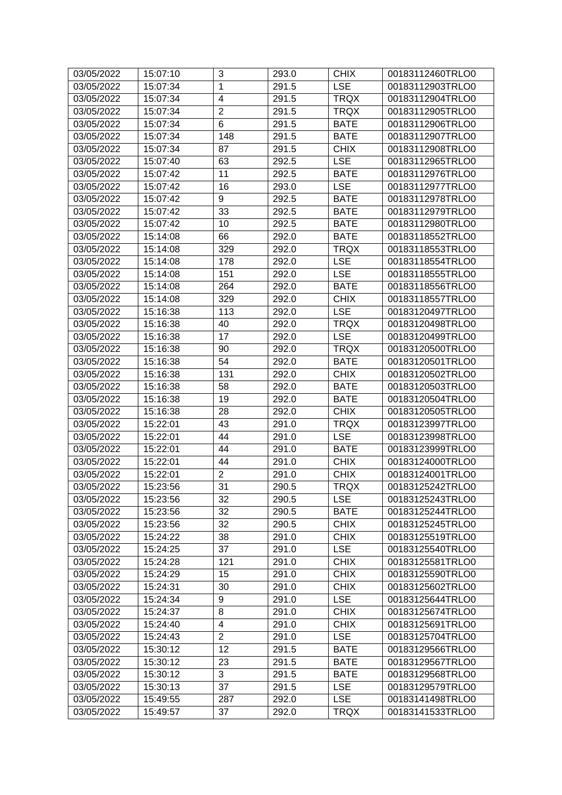| $\mathbf{1}$<br><b>LSE</b><br>00183112903TRLO0<br>03/05/2022<br>15:07:34<br>291.5<br>$\overline{\mathbf{4}}$<br><b>TRQX</b><br>15:07:34<br>291.5<br>00183112904TRLO0<br>03/05/2022<br>$\overline{2}$<br>15:07:34<br>291.5<br><b>TRQX</b><br>00183112905TRLO0<br>03/05/2022<br>6<br>15:07:34<br>291.5<br><b>BATE</b><br>00183112906TRLO0<br>03/05/2022<br>03/05/2022<br>148<br><b>BATE</b><br>00183112907TRLO0<br>15:07:34<br>291.5<br><b>CHIX</b><br>03/05/2022<br>15:07:34<br>87<br>291.5<br>00183112908TRLO0<br>63<br>03/05/2022<br>15:07:40<br>292.5<br><b>LSE</b><br>00183112965TRLO0<br>03/05/2022<br>15:07:42<br>11<br>292.5<br><b>BATE</b><br>00183112976TRLO0<br>16<br>293.0<br><b>LSE</b><br>00183112977TRLO0<br>03/05/2022<br>15:07:42<br>9<br><b>BATE</b><br>00183112978TRLO0<br>03/05/2022<br>15:07:42<br>292.5<br>33<br>03/05/2022<br>15:07:42<br>292.5<br><b>BATE</b><br>00183112979TRLO0<br>10<br>292.5<br><b>BATE</b><br>03/05/2022<br>15:07:42<br>00183112980TRLO0<br>66<br>03/05/2022<br>292.0<br><b>BATE</b><br>00183118552TRLO0<br>15:14:08<br>329<br>03/05/2022<br>15:14:08<br>292.0<br><b>TRQX</b><br>00183118553TRLO0<br>03/05/2022<br>15:14:08<br>178<br>292.0<br><b>LSE</b><br>00183118554TRLO0<br><b>LSE</b><br>03/05/2022<br>15:14:08<br>151<br>292.0<br>00183118555TRLO0<br>03/05/2022<br>15:14:08<br>264<br>292.0<br><b>BATE</b><br>00183118556TRLO0<br>329<br><b>CHIX</b><br>03/05/2022<br>15:14:08<br>292.0<br>00183118557TRLO0<br><b>LSE</b><br>15:16:38<br>113<br>292.0<br>00183120497TRLO0<br>03/05/2022<br>03/05/2022<br>00183120498TRLO0<br>15:16:38<br>40<br>292.0<br><b>TRQX</b><br>17<br><b>LSE</b><br>292.0<br>03/05/2022<br>15:16:38<br>00183120499TRLO0<br>90<br><b>TRQX</b><br>03/05/2022<br>15:16:38<br>292.0<br>00183120500TRLO0<br>15:16:38<br>54<br>00183120501TRLO0<br>03/05/2022<br>292.0<br><b>BATE</b><br>131<br><b>CHIX</b><br>03/05/2022<br>15:16:38<br>292.0<br>00183120502TRLO0<br>03/05/2022<br>15:16:38<br>58<br>292.0<br><b>BATE</b><br>00183120503TRLO0<br>03/05/2022<br>15:16:38<br>19<br>292.0<br><b>BATE</b><br>00183120504TRLO0<br>28<br><b>CHIX</b><br>15:16:38<br>292.0<br>03/05/2022<br>00183120505TRLO0<br>43<br>03/05/2022<br>15:22:01<br>291.0<br><b>TRQX</b><br>00183123997TRLO0<br>44<br><b>LSE</b><br>00183123998TRLO0<br>03/05/2022<br>15:22:01<br>291.0<br>03/05/2022<br>15:22:01<br>44<br>291.0<br><b>BATE</b><br>00183123999TRLO0<br>44<br>291.0<br><b>CHIX</b><br>03/05/2022<br>15:22:01<br>00183124000TRLO0<br>$\overline{2}$<br>03/05/2022<br>15:22:01<br><b>CHIX</b><br>00183124001TRLO0<br>291.0<br>31<br>03/05/2022<br>15:23:56<br>290.5<br><b>TRQX</b><br>00183125242TRLO0<br>03/05/2022<br>15:23:56<br>32<br>290.5<br><b>LSE</b><br>00183125243TRLO0<br>32<br>290.5<br><b>BATE</b><br>03/05/2022<br>15:23:56<br>00183125244TRLO0<br>32<br><b>CHIX</b><br>15:23:56<br>290.5<br>00183125245TRLO0<br>03/05/2022<br>15:24:22<br>38<br><b>CHIX</b><br>03/05/2022<br>291.0<br>00183125519TRLO0<br>37<br><b>LSE</b><br>03/05/2022<br>15:24:25<br>291.0<br>00183125540TRLO0<br><b>CHIX</b><br>03/05/2022<br>15:24:28<br>121<br>291.0<br>00183125581TRLO0<br>15<br>291.0<br><b>CHIX</b><br>03/05/2022<br>15:24:29<br>00183125590TRLO0<br>291.0<br><b>CHIX</b><br>03/05/2022<br>15:24:31<br>30<br>00183125602TRLO0<br>03/05/2022<br>15:24:34<br>9<br>291.0<br><b>LSE</b><br>00183125644TRLO0<br>8<br><b>CHIX</b><br>03/05/2022<br>291.0<br>00183125674TRLO0<br>15:24:37<br>03/05/2022<br>15:24:40<br>4<br>291.0<br><b>CHIX</b><br>00183125691TRLO0<br>$\overline{2}$<br>291.0<br><b>LSE</b><br>03/05/2022<br>15:24:43<br>00183125704TRLO0<br>12<br>291.5<br><b>BATE</b><br>03/05/2022<br>15:30:12<br>00183129566TRLO0<br>23<br>03/05/2022<br>15:30:12<br>291.5<br><b>BATE</b><br>00183129567TRLO0<br>3<br>03/05/2022<br>15:30:12<br>291.5<br><b>BATE</b><br>00183129568TRLO0<br>03/05/2022<br>15:30:13<br>37<br>291.5<br><b>LSE</b><br>00183129579TRLO0<br><b>LSE</b><br>03/05/2022<br>287<br>292.0<br>15:49:55<br>00183141498TRLO0<br>03/05/2022<br>37<br>292.0<br><b>TRQX</b><br>00183141533TRLO0<br>15:49:57 | 03/05/2022 | 15:07:10 | 3 | 293.0 | <b>CHIX</b> | 00183112460TRLO0 |
|-------------------------------------------------------------------------------------------------------------------------------------------------------------------------------------------------------------------------------------------------------------------------------------------------------------------------------------------------------------------------------------------------------------------------------------------------------------------------------------------------------------------------------------------------------------------------------------------------------------------------------------------------------------------------------------------------------------------------------------------------------------------------------------------------------------------------------------------------------------------------------------------------------------------------------------------------------------------------------------------------------------------------------------------------------------------------------------------------------------------------------------------------------------------------------------------------------------------------------------------------------------------------------------------------------------------------------------------------------------------------------------------------------------------------------------------------------------------------------------------------------------------------------------------------------------------------------------------------------------------------------------------------------------------------------------------------------------------------------------------------------------------------------------------------------------------------------------------------------------------------------------------------------------------------------------------------------------------------------------------------------------------------------------------------------------------------------------------------------------------------------------------------------------------------------------------------------------------------------------------------------------------------------------------------------------------------------------------------------------------------------------------------------------------------------------------------------------------------------------------------------------------------------------------------------------------------------------------------------------------------------------------------------------------------------------------------------------------------------------------------------------------------------------------------------------------------------------------------------------------------------------------------------------------------------------------------------------------------------------------------------------------------------------------------------------------------------------------------------------------------------------------------------------------------------------------------------------------------------------------------------------------------------------------------------------------------------------------------------------------------------------------------------------------------------------------------------------------------------------------------------------------------------------------------------------------------------------------------------------------------------------------------------------------------------------------------------------------------------------------------------------------------------------------------------------------------------------------------------------------------------------------------------------------------------------------------------------------------------------------------------------------------------------------------------------------------------------------|------------|----------|---|-------|-------------|------------------|
|                                                                                                                                                                                                                                                                                                                                                                                                                                                                                                                                                                                                                                                                                                                                                                                                                                                                                                                                                                                                                                                                                                                                                                                                                                                                                                                                                                                                                                                                                                                                                                                                                                                                                                                                                                                                                                                                                                                                                                                                                                                                                                                                                                                                                                                                                                                                                                                                                                                                                                                                                                                                                                                                                                                                                                                                                                                                                                                                                                                                                                                                                                                                                                                                                                                                                                                                                                                                                                                                                                                                                                                                                                                                                                                                                                                                                                                                                                                                                                                                                                                                                           |            |          |   |       |             |                  |
|                                                                                                                                                                                                                                                                                                                                                                                                                                                                                                                                                                                                                                                                                                                                                                                                                                                                                                                                                                                                                                                                                                                                                                                                                                                                                                                                                                                                                                                                                                                                                                                                                                                                                                                                                                                                                                                                                                                                                                                                                                                                                                                                                                                                                                                                                                                                                                                                                                                                                                                                                                                                                                                                                                                                                                                                                                                                                                                                                                                                                                                                                                                                                                                                                                                                                                                                                                                                                                                                                                                                                                                                                                                                                                                                                                                                                                                                                                                                                                                                                                                                                           |            |          |   |       |             |                  |
|                                                                                                                                                                                                                                                                                                                                                                                                                                                                                                                                                                                                                                                                                                                                                                                                                                                                                                                                                                                                                                                                                                                                                                                                                                                                                                                                                                                                                                                                                                                                                                                                                                                                                                                                                                                                                                                                                                                                                                                                                                                                                                                                                                                                                                                                                                                                                                                                                                                                                                                                                                                                                                                                                                                                                                                                                                                                                                                                                                                                                                                                                                                                                                                                                                                                                                                                                                                                                                                                                                                                                                                                                                                                                                                                                                                                                                                                                                                                                                                                                                                                                           |            |          |   |       |             |                  |
|                                                                                                                                                                                                                                                                                                                                                                                                                                                                                                                                                                                                                                                                                                                                                                                                                                                                                                                                                                                                                                                                                                                                                                                                                                                                                                                                                                                                                                                                                                                                                                                                                                                                                                                                                                                                                                                                                                                                                                                                                                                                                                                                                                                                                                                                                                                                                                                                                                                                                                                                                                                                                                                                                                                                                                                                                                                                                                                                                                                                                                                                                                                                                                                                                                                                                                                                                                                                                                                                                                                                                                                                                                                                                                                                                                                                                                                                                                                                                                                                                                                                                           |            |          |   |       |             |                  |
|                                                                                                                                                                                                                                                                                                                                                                                                                                                                                                                                                                                                                                                                                                                                                                                                                                                                                                                                                                                                                                                                                                                                                                                                                                                                                                                                                                                                                                                                                                                                                                                                                                                                                                                                                                                                                                                                                                                                                                                                                                                                                                                                                                                                                                                                                                                                                                                                                                                                                                                                                                                                                                                                                                                                                                                                                                                                                                                                                                                                                                                                                                                                                                                                                                                                                                                                                                                                                                                                                                                                                                                                                                                                                                                                                                                                                                                                                                                                                                                                                                                                                           |            |          |   |       |             |                  |
|                                                                                                                                                                                                                                                                                                                                                                                                                                                                                                                                                                                                                                                                                                                                                                                                                                                                                                                                                                                                                                                                                                                                                                                                                                                                                                                                                                                                                                                                                                                                                                                                                                                                                                                                                                                                                                                                                                                                                                                                                                                                                                                                                                                                                                                                                                                                                                                                                                                                                                                                                                                                                                                                                                                                                                                                                                                                                                                                                                                                                                                                                                                                                                                                                                                                                                                                                                                                                                                                                                                                                                                                                                                                                                                                                                                                                                                                                                                                                                                                                                                                                           |            |          |   |       |             |                  |
|                                                                                                                                                                                                                                                                                                                                                                                                                                                                                                                                                                                                                                                                                                                                                                                                                                                                                                                                                                                                                                                                                                                                                                                                                                                                                                                                                                                                                                                                                                                                                                                                                                                                                                                                                                                                                                                                                                                                                                                                                                                                                                                                                                                                                                                                                                                                                                                                                                                                                                                                                                                                                                                                                                                                                                                                                                                                                                                                                                                                                                                                                                                                                                                                                                                                                                                                                                                                                                                                                                                                                                                                                                                                                                                                                                                                                                                                                                                                                                                                                                                                                           |            |          |   |       |             |                  |
|                                                                                                                                                                                                                                                                                                                                                                                                                                                                                                                                                                                                                                                                                                                                                                                                                                                                                                                                                                                                                                                                                                                                                                                                                                                                                                                                                                                                                                                                                                                                                                                                                                                                                                                                                                                                                                                                                                                                                                                                                                                                                                                                                                                                                                                                                                                                                                                                                                                                                                                                                                                                                                                                                                                                                                                                                                                                                                                                                                                                                                                                                                                                                                                                                                                                                                                                                                                                                                                                                                                                                                                                                                                                                                                                                                                                                                                                                                                                                                                                                                                                                           |            |          |   |       |             |                  |
|                                                                                                                                                                                                                                                                                                                                                                                                                                                                                                                                                                                                                                                                                                                                                                                                                                                                                                                                                                                                                                                                                                                                                                                                                                                                                                                                                                                                                                                                                                                                                                                                                                                                                                                                                                                                                                                                                                                                                                                                                                                                                                                                                                                                                                                                                                                                                                                                                                                                                                                                                                                                                                                                                                                                                                                                                                                                                                                                                                                                                                                                                                                                                                                                                                                                                                                                                                                                                                                                                                                                                                                                                                                                                                                                                                                                                                                                                                                                                                                                                                                                                           |            |          |   |       |             |                  |
|                                                                                                                                                                                                                                                                                                                                                                                                                                                                                                                                                                                                                                                                                                                                                                                                                                                                                                                                                                                                                                                                                                                                                                                                                                                                                                                                                                                                                                                                                                                                                                                                                                                                                                                                                                                                                                                                                                                                                                                                                                                                                                                                                                                                                                                                                                                                                                                                                                                                                                                                                                                                                                                                                                                                                                                                                                                                                                                                                                                                                                                                                                                                                                                                                                                                                                                                                                                                                                                                                                                                                                                                                                                                                                                                                                                                                                                                                                                                                                                                                                                                                           |            |          |   |       |             |                  |
|                                                                                                                                                                                                                                                                                                                                                                                                                                                                                                                                                                                                                                                                                                                                                                                                                                                                                                                                                                                                                                                                                                                                                                                                                                                                                                                                                                                                                                                                                                                                                                                                                                                                                                                                                                                                                                                                                                                                                                                                                                                                                                                                                                                                                                                                                                                                                                                                                                                                                                                                                                                                                                                                                                                                                                                                                                                                                                                                                                                                                                                                                                                                                                                                                                                                                                                                                                                                                                                                                                                                                                                                                                                                                                                                                                                                                                                                                                                                                                                                                                                                                           |            |          |   |       |             |                  |
|                                                                                                                                                                                                                                                                                                                                                                                                                                                                                                                                                                                                                                                                                                                                                                                                                                                                                                                                                                                                                                                                                                                                                                                                                                                                                                                                                                                                                                                                                                                                                                                                                                                                                                                                                                                                                                                                                                                                                                                                                                                                                                                                                                                                                                                                                                                                                                                                                                                                                                                                                                                                                                                                                                                                                                                                                                                                                                                                                                                                                                                                                                                                                                                                                                                                                                                                                                                                                                                                                                                                                                                                                                                                                                                                                                                                                                                                                                                                                                                                                                                                                           |            |          |   |       |             |                  |
|                                                                                                                                                                                                                                                                                                                                                                                                                                                                                                                                                                                                                                                                                                                                                                                                                                                                                                                                                                                                                                                                                                                                                                                                                                                                                                                                                                                                                                                                                                                                                                                                                                                                                                                                                                                                                                                                                                                                                                                                                                                                                                                                                                                                                                                                                                                                                                                                                                                                                                                                                                                                                                                                                                                                                                                                                                                                                                                                                                                                                                                                                                                                                                                                                                                                                                                                                                                                                                                                                                                                                                                                                                                                                                                                                                                                                                                                                                                                                                                                                                                                                           |            |          |   |       |             |                  |
|                                                                                                                                                                                                                                                                                                                                                                                                                                                                                                                                                                                                                                                                                                                                                                                                                                                                                                                                                                                                                                                                                                                                                                                                                                                                                                                                                                                                                                                                                                                                                                                                                                                                                                                                                                                                                                                                                                                                                                                                                                                                                                                                                                                                                                                                                                                                                                                                                                                                                                                                                                                                                                                                                                                                                                                                                                                                                                                                                                                                                                                                                                                                                                                                                                                                                                                                                                                                                                                                                                                                                                                                                                                                                                                                                                                                                                                                                                                                                                                                                                                                                           |            |          |   |       |             |                  |
|                                                                                                                                                                                                                                                                                                                                                                                                                                                                                                                                                                                                                                                                                                                                                                                                                                                                                                                                                                                                                                                                                                                                                                                                                                                                                                                                                                                                                                                                                                                                                                                                                                                                                                                                                                                                                                                                                                                                                                                                                                                                                                                                                                                                                                                                                                                                                                                                                                                                                                                                                                                                                                                                                                                                                                                                                                                                                                                                                                                                                                                                                                                                                                                                                                                                                                                                                                                                                                                                                                                                                                                                                                                                                                                                                                                                                                                                                                                                                                                                                                                                                           |            |          |   |       |             |                  |
|                                                                                                                                                                                                                                                                                                                                                                                                                                                                                                                                                                                                                                                                                                                                                                                                                                                                                                                                                                                                                                                                                                                                                                                                                                                                                                                                                                                                                                                                                                                                                                                                                                                                                                                                                                                                                                                                                                                                                                                                                                                                                                                                                                                                                                                                                                                                                                                                                                                                                                                                                                                                                                                                                                                                                                                                                                                                                                                                                                                                                                                                                                                                                                                                                                                                                                                                                                                                                                                                                                                                                                                                                                                                                                                                                                                                                                                                                                                                                                                                                                                                                           |            |          |   |       |             |                  |
|                                                                                                                                                                                                                                                                                                                                                                                                                                                                                                                                                                                                                                                                                                                                                                                                                                                                                                                                                                                                                                                                                                                                                                                                                                                                                                                                                                                                                                                                                                                                                                                                                                                                                                                                                                                                                                                                                                                                                                                                                                                                                                                                                                                                                                                                                                                                                                                                                                                                                                                                                                                                                                                                                                                                                                                                                                                                                                                                                                                                                                                                                                                                                                                                                                                                                                                                                                                                                                                                                                                                                                                                                                                                                                                                                                                                                                                                                                                                                                                                                                                                                           |            |          |   |       |             |                  |
|                                                                                                                                                                                                                                                                                                                                                                                                                                                                                                                                                                                                                                                                                                                                                                                                                                                                                                                                                                                                                                                                                                                                                                                                                                                                                                                                                                                                                                                                                                                                                                                                                                                                                                                                                                                                                                                                                                                                                                                                                                                                                                                                                                                                                                                                                                                                                                                                                                                                                                                                                                                                                                                                                                                                                                                                                                                                                                                                                                                                                                                                                                                                                                                                                                                                                                                                                                                                                                                                                                                                                                                                                                                                                                                                                                                                                                                                                                                                                                                                                                                                                           |            |          |   |       |             |                  |
|                                                                                                                                                                                                                                                                                                                                                                                                                                                                                                                                                                                                                                                                                                                                                                                                                                                                                                                                                                                                                                                                                                                                                                                                                                                                                                                                                                                                                                                                                                                                                                                                                                                                                                                                                                                                                                                                                                                                                                                                                                                                                                                                                                                                                                                                                                                                                                                                                                                                                                                                                                                                                                                                                                                                                                                                                                                                                                                                                                                                                                                                                                                                                                                                                                                                                                                                                                                                                                                                                                                                                                                                                                                                                                                                                                                                                                                                                                                                                                                                                                                                                           |            |          |   |       |             |                  |
|                                                                                                                                                                                                                                                                                                                                                                                                                                                                                                                                                                                                                                                                                                                                                                                                                                                                                                                                                                                                                                                                                                                                                                                                                                                                                                                                                                                                                                                                                                                                                                                                                                                                                                                                                                                                                                                                                                                                                                                                                                                                                                                                                                                                                                                                                                                                                                                                                                                                                                                                                                                                                                                                                                                                                                                                                                                                                                                                                                                                                                                                                                                                                                                                                                                                                                                                                                                                                                                                                                                                                                                                                                                                                                                                                                                                                                                                                                                                                                                                                                                                                           |            |          |   |       |             |                  |
|                                                                                                                                                                                                                                                                                                                                                                                                                                                                                                                                                                                                                                                                                                                                                                                                                                                                                                                                                                                                                                                                                                                                                                                                                                                                                                                                                                                                                                                                                                                                                                                                                                                                                                                                                                                                                                                                                                                                                                                                                                                                                                                                                                                                                                                                                                                                                                                                                                                                                                                                                                                                                                                                                                                                                                                                                                                                                                                                                                                                                                                                                                                                                                                                                                                                                                                                                                                                                                                                                                                                                                                                                                                                                                                                                                                                                                                                                                                                                                                                                                                                                           |            |          |   |       |             |                  |
|                                                                                                                                                                                                                                                                                                                                                                                                                                                                                                                                                                                                                                                                                                                                                                                                                                                                                                                                                                                                                                                                                                                                                                                                                                                                                                                                                                                                                                                                                                                                                                                                                                                                                                                                                                                                                                                                                                                                                                                                                                                                                                                                                                                                                                                                                                                                                                                                                                                                                                                                                                                                                                                                                                                                                                                                                                                                                                                                                                                                                                                                                                                                                                                                                                                                                                                                                                                                                                                                                                                                                                                                                                                                                                                                                                                                                                                                                                                                                                                                                                                                                           |            |          |   |       |             |                  |
|                                                                                                                                                                                                                                                                                                                                                                                                                                                                                                                                                                                                                                                                                                                                                                                                                                                                                                                                                                                                                                                                                                                                                                                                                                                                                                                                                                                                                                                                                                                                                                                                                                                                                                                                                                                                                                                                                                                                                                                                                                                                                                                                                                                                                                                                                                                                                                                                                                                                                                                                                                                                                                                                                                                                                                                                                                                                                                                                                                                                                                                                                                                                                                                                                                                                                                                                                                                                                                                                                                                                                                                                                                                                                                                                                                                                                                                                                                                                                                                                                                                                                           |            |          |   |       |             |                  |
|                                                                                                                                                                                                                                                                                                                                                                                                                                                                                                                                                                                                                                                                                                                                                                                                                                                                                                                                                                                                                                                                                                                                                                                                                                                                                                                                                                                                                                                                                                                                                                                                                                                                                                                                                                                                                                                                                                                                                                                                                                                                                                                                                                                                                                                                                                                                                                                                                                                                                                                                                                                                                                                                                                                                                                                                                                                                                                                                                                                                                                                                                                                                                                                                                                                                                                                                                                                                                                                                                                                                                                                                                                                                                                                                                                                                                                                                                                                                                                                                                                                                                           |            |          |   |       |             |                  |
|                                                                                                                                                                                                                                                                                                                                                                                                                                                                                                                                                                                                                                                                                                                                                                                                                                                                                                                                                                                                                                                                                                                                                                                                                                                                                                                                                                                                                                                                                                                                                                                                                                                                                                                                                                                                                                                                                                                                                                                                                                                                                                                                                                                                                                                                                                                                                                                                                                                                                                                                                                                                                                                                                                                                                                                                                                                                                                                                                                                                                                                                                                                                                                                                                                                                                                                                                                                                                                                                                                                                                                                                                                                                                                                                                                                                                                                                                                                                                                                                                                                                                           |            |          |   |       |             |                  |
|                                                                                                                                                                                                                                                                                                                                                                                                                                                                                                                                                                                                                                                                                                                                                                                                                                                                                                                                                                                                                                                                                                                                                                                                                                                                                                                                                                                                                                                                                                                                                                                                                                                                                                                                                                                                                                                                                                                                                                                                                                                                                                                                                                                                                                                                                                                                                                                                                                                                                                                                                                                                                                                                                                                                                                                                                                                                                                                                                                                                                                                                                                                                                                                                                                                                                                                                                                                                                                                                                                                                                                                                                                                                                                                                                                                                                                                                                                                                                                                                                                                                                           |            |          |   |       |             |                  |
|                                                                                                                                                                                                                                                                                                                                                                                                                                                                                                                                                                                                                                                                                                                                                                                                                                                                                                                                                                                                                                                                                                                                                                                                                                                                                                                                                                                                                                                                                                                                                                                                                                                                                                                                                                                                                                                                                                                                                                                                                                                                                                                                                                                                                                                                                                                                                                                                                                                                                                                                                                                                                                                                                                                                                                                                                                                                                                                                                                                                                                                                                                                                                                                                                                                                                                                                                                                                                                                                                                                                                                                                                                                                                                                                                                                                                                                                                                                                                                                                                                                                                           |            |          |   |       |             |                  |
|                                                                                                                                                                                                                                                                                                                                                                                                                                                                                                                                                                                                                                                                                                                                                                                                                                                                                                                                                                                                                                                                                                                                                                                                                                                                                                                                                                                                                                                                                                                                                                                                                                                                                                                                                                                                                                                                                                                                                                                                                                                                                                                                                                                                                                                                                                                                                                                                                                                                                                                                                                                                                                                                                                                                                                                                                                                                                                                                                                                                                                                                                                                                                                                                                                                                                                                                                                                                                                                                                                                                                                                                                                                                                                                                                                                                                                                                                                                                                                                                                                                                                           |            |          |   |       |             |                  |
|                                                                                                                                                                                                                                                                                                                                                                                                                                                                                                                                                                                                                                                                                                                                                                                                                                                                                                                                                                                                                                                                                                                                                                                                                                                                                                                                                                                                                                                                                                                                                                                                                                                                                                                                                                                                                                                                                                                                                                                                                                                                                                                                                                                                                                                                                                                                                                                                                                                                                                                                                                                                                                                                                                                                                                                                                                                                                                                                                                                                                                                                                                                                                                                                                                                                                                                                                                                                                                                                                                                                                                                                                                                                                                                                                                                                                                                                                                                                                                                                                                                                                           |            |          |   |       |             |                  |
|                                                                                                                                                                                                                                                                                                                                                                                                                                                                                                                                                                                                                                                                                                                                                                                                                                                                                                                                                                                                                                                                                                                                                                                                                                                                                                                                                                                                                                                                                                                                                                                                                                                                                                                                                                                                                                                                                                                                                                                                                                                                                                                                                                                                                                                                                                                                                                                                                                                                                                                                                                                                                                                                                                                                                                                                                                                                                                                                                                                                                                                                                                                                                                                                                                                                                                                                                                                                                                                                                                                                                                                                                                                                                                                                                                                                                                                                                                                                                                                                                                                                                           |            |          |   |       |             |                  |
|                                                                                                                                                                                                                                                                                                                                                                                                                                                                                                                                                                                                                                                                                                                                                                                                                                                                                                                                                                                                                                                                                                                                                                                                                                                                                                                                                                                                                                                                                                                                                                                                                                                                                                                                                                                                                                                                                                                                                                                                                                                                                                                                                                                                                                                                                                                                                                                                                                                                                                                                                                                                                                                                                                                                                                                                                                                                                                                                                                                                                                                                                                                                                                                                                                                                                                                                                                                                                                                                                                                                                                                                                                                                                                                                                                                                                                                                                                                                                                                                                                                                                           |            |          |   |       |             |                  |
|                                                                                                                                                                                                                                                                                                                                                                                                                                                                                                                                                                                                                                                                                                                                                                                                                                                                                                                                                                                                                                                                                                                                                                                                                                                                                                                                                                                                                                                                                                                                                                                                                                                                                                                                                                                                                                                                                                                                                                                                                                                                                                                                                                                                                                                                                                                                                                                                                                                                                                                                                                                                                                                                                                                                                                                                                                                                                                                                                                                                                                                                                                                                                                                                                                                                                                                                                                                                                                                                                                                                                                                                                                                                                                                                                                                                                                                                                                                                                                                                                                                                                           |            |          |   |       |             |                  |
|                                                                                                                                                                                                                                                                                                                                                                                                                                                                                                                                                                                                                                                                                                                                                                                                                                                                                                                                                                                                                                                                                                                                                                                                                                                                                                                                                                                                                                                                                                                                                                                                                                                                                                                                                                                                                                                                                                                                                                                                                                                                                                                                                                                                                                                                                                                                                                                                                                                                                                                                                                                                                                                                                                                                                                                                                                                                                                                                                                                                                                                                                                                                                                                                                                                                                                                                                                                                                                                                                                                                                                                                                                                                                                                                                                                                                                                                                                                                                                                                                                                                                           |            |          |   |       |             |                  |
|                                                                                                                                                                                                                                                                                                                                                                                                                                                                                                                                                                                                                                                                                                                                                                                                                                                                                                                                                                                                                                                                                                                                                                                                                                                                                                                                                                                                                                                                                                                                                                                                                                                                                                                                                                                                                                                                                                                                                                                                                                                                                                                                                                                                                                                                                                                                                                                                                                                                                                                                                                                                                                                                                                                                                                                                                                                                                                                                                                                                                                                                                                                                                                                                                                                                                                                                                                                                                                                                                                                                                                                                                                                                                                                                                                                                                                                                                                                                                                                                                                                                                           |            |          |   |       |             |                  |
|                                                                                                                                                                                                                                                                                                                                                                                                                                                                                                                                                                                                                                                                                                                                                                                                                                                                                                                                                                                                                                                                                                                                                                                                                                                                                                                                                                                                                                                                                                                                                                                                                                                                                                                                                                                                                                                                                                                                                                                                                                                                                                                                                                                                                                                                                                                                                                                                                                                                                                                                                                                                                                                                                                                                                                                                                                                                                                                                                                                                                                                                                                                                                                                                                                                                                                                                                                                                                                                                                                                                                                                                                                                                                                                                                                                                                                                                                                                                                                                                                                                                                           |            |          |   |       |             |                  |
|                                                                                                                                                                                                                                                                                                                                                                                                                                                                                                                                                                                                                                                                                                                                                                                                                                                                                                                                                                                                                                                                                                                                                                                                                                                                                                                                                                                                                                                                                                                                                                                                                                                                                                                                                                                                                                                                                                                                                                                                                                                                                                                                                                                                                                                                                                                                                                                                                                                                                                                                                                                                                                                                                                                                                                                                                                                                                                                                                                                                                                                                                                                                                                                                                                                                                                                                                                                                                                                                                                                                                                                                                                                                                                                                                                                                                                                                                                                                                                                                                                                                                           |            |          |   |       |             |                  |
|                                                                                                                                                                                                                                                                                                                                                                                                                                                                                                                                                                                                                                                                                                                                                                                                                                                                                                                                                                                                                                                                                                                                                                                                                                                                                                                                                                                                                                                                                                                                                                                                                                                                                                                                                                                                                                                                                                                                                                                                                                                                                                                                                                                                                                                                                                                                                                                                                                                                                                                                                                                                                                                                                                                                                                                                                                                                                                                                                                                                                                                                                                                                                                                                                                                                                                                                                                                                                                                                                                                                                                                                                                                                                                                                                                                                                                                                                                                                                                                                                                                                                           |            |          |   |       |             |                  |
|                                                                                                                                                                                                                                                                                                                                                                                                                                                                                                                                                                                                                                                                                                                                                                                                                                                                                                                                                                                                                                                                                                                                                                                                                                                                                                                                                                                                                                                                                                                                                                                                                                                                                                                                                                                                                                                                                                                                                                                                                                                                                                                                                                                                                                                                                                                                                                                                                                                                                                                                                                                                                                                                                                                                                                                                                                                                                                                                                                                                                                                                                                                                                                                                                                                                                                                                                                                                                                                                                                                                                                                                                                                                                                                                                                                                                                                                                                                                                                                                                                                                                           |            |          |   |       |             |                  |
|                                                                                                                                                                                                                                                                                                                                                                                                                                                                                                                                                                                                                                                                                                                                                                                                                                                                                                                                                                                                                                                                                                                                                                                                                                                                                                                                                                                                                                                                                                                                                                                                                                                                                                                                                                                                                                                                                                                                                                                                                                                                                                                                                                                                                                                                                                                                                                                                                                                                                                                                                                                                                                                                                                                                                                                                                                                                                                                                                                                                                                                                                                                                                                                                                                                                                                                                                                                                                                                                                                                                                                                                                                                                                                                                                                                                                                                                                                                                                                                                                                                                                           |            |          |   |       |             |                  |
|                                                                                                                                                                                                                                                                                                                                                                                                                                                                                                                                                                                                                                                                                                                                                                                                                                                                                                                                                                                                                                                                                                                                                                                                                                                                                                                                                                                                                                                                                                                                                                                                                                                                                                                                                                                                                                                                                                                                                                                                                                                                                                                                                                                                                                                                                                                                                                                                                                                                                                                                                                                                                                                                                                                                                                                                                                                                                                                                                                                                                                                                                                                                                                                                                                                                                                                                                                                                                                                                                                                                                                                                                                                                                                                                                                                                                                                                                                                                                                                                                                                                                           |            |          |   |       |             |                  |
|                                                                                                                                                                                                                                                                                                                                                                                                                                                                                                                                                                                                                                                                                                                                                                                                                                                                                                                                                                                                                                                                                                                                                                                                                                                                                                                                                                                                                                                                                                                                                                                                                                                                                                                                                                                                                                                                                                                                                                                                                                                                                                                                                                                                                                                                                                                                                                                                                                                                                                                                                                                                                                                                                                                                                                                                                                                                                                                                                                                                                                                                                                                                                                                                                                                                                                                                                                                                                                                                                                                                                                                                                                                                                                                                                                                                                                                                                                                                                                                                                                                                                           |            |          |   |       |             |                  |
|                                                                                                                                                                                                                                                                                                                                                                                                                                                                                                                                                                                                                                                                                                                                                                                                                                                                                                                                                                                                                                                                                                                                                                                                                                                                                                                                                                                                                                                                                                                                                                                                                                                                                                                                                                                                                                                                                                                                                                                                                                                                                                                                                                                                                                                                                                                                                                                                                                                                                                                                                                                                                                                                                                                                                                                                                                                                                                                                                                                                                                                                                                                                                                                                                                                                                                                                                                                                                                                                                                                                                                                                                                                                                                                                                                                                                                                                                                                                                                                                                                                                                           |            |          |   |       |             |                  |
|                                                                                                                                                                                                                                                                                                                                                                                                                                                                                                                                                                                                                                                                                                                                                                                                                                                                                                                                                                                                                                                                                                                                                                                                                                                                                                                                                                                                                                                                                                                                                                                                                                                                                                                                                                                                                                                                                                                                                                                                                                                                                                                                                                                                                                                                                                                                                                                                                                                                                                                                                                                                                                                                                                                                                                                                                                                                                                                                                                                                                                                                                                                                                                                                                                                                                                                                                                                                                                                                                                                                                                                                                                                                                                                                                                                                                                                                                                                                                                                                                                                                                           |            |          |   |       |             |                  |
|                                                                                                                                                                                                                                                                                                                                                                                                                                                                                                                                                                                                                                                                                                                                                                                                                                                                                                                                                                                                                                                                                                                                                                                                                                                                                                                                                                                                                                                                                                                                                                                                                                                                                                                                                                                                                                                                                                                                                                                                                                                                                                                                                                                                                                                                                                                                                                                                                                                                                                                                                                                                                                                                                                                                                                                                                                                                                                                                                                                                                                                                                                                                                                                                                                                                                                                                                                                                                                                                                                                                                                                                                                                                                                                                                                                                                                                                                                                                                                                                                                                                                           |            |          |   |       |             |                  |
|                                                                                                                                                                                                                                                                                                                                                                                                                                                                                                                                                                                                                                                                                                                                                                                                                                                                                                                                                                                                                                                                                                                                                                                                                                                                                                                                                                                                                                                                                                                                                                                                                                                                                                                                                                                                                                                                                                                                                                                                                                                                                                                                                                                                                                                                                                                                                                                                                                                                                                                                                                                                                                                                                                                                                                                                                                                                                                                                                                                                                                                                                                                                                                                                                                                                                                                                                                                                                                                                                                                                                                                                                                                                                                                                                                                                                                                                                                                                                                                                                                                                                           |            |          |   |       |             |                  |
|                                                                                                                                                                                                                                                                                                                                                                                                                                                                                                                                                                                                                                                                                                                                                                                                                                                                                                                                                                                                                                                                                                                                                                                                                                                                                                                                                                                                                                                                                                                                                                                                                                                                                                                                                                                                                                                                                                                                                                                                                                                                                                                                                                                                                                                                                                                                                                                                                                                                                                                                                                                                                                                                                                                                                                                                                                                                                                                                                                                                                                                                                                                                                                                                                                                                                                                                                                                                                                                                                                                                                                                                                                                                                                                                                                                                                                                                                                                                                                                                                                                                                           |            |          |   |       |             |                  |
|                                                                                                                                                                                                                                                                                                                                                                                                                                                                                                                                                                                                                                                                                                                                                                                                                                                                                                                                                                                                                                                                                                                                                                                                                                                                                                                                                                                                                                                                                                                                                                                                                                                                                                                                                                                                                                                                                                                                                                                                                                                                                                                                                                                                                                                                                                                                                                                                                                                                                                                                                                                                                                                                                                                                                                                                                                                                                                                                                                                                                                                                                                                                                                                                                                                                                                                                                                                                                                                                                                                                                                                                                                                                                                                                                                                                                                                                                                                                                                                                                                                                                           |            |          |   |       |             |                  |
|                                                                                                                                                                                                                                                                                                                                                                                                                                                                                                                                                                                                                                                                                                                                                                                                                                                                                                                                                                                                                                                                                                                                                                                                                                                                                                                                                                                                                                                                                                                                                                                                                                                                                                                                                                                                                                                                                                                                                                                                                                                                                                                                                                                                                                                                                                                                                                                                                                                                                                                                                                                                                                                                                                                                                                                                                                                                                                                                                                                                                                                                                                                                                                                                                                                                                                                                                                                                                                                                                                                                                                                                                                                                                                                                                                                                                                                                                                                                                                                                                                                                                           |            |          |   |       |             |                  |
|                                                                                                                                                                                                                                                                                                                                                                                                                                                                                                                                                                                                                                                                                                                                                                                                                                                                                                                                                                                                                                                                                                                                                                                                                                                                                                                                                                                                                                                                                                                                                                                                                                                                                                                                                                                                                                                                                                                                                                                                                                                                                                                                                                                                                                                                                                                                                                                                                                                                                                                                                                                                                                                                                                                                                                                                                                                                                                                                                                                                                                                                                                                                                                                                                                                                                                                                                                                                                                                                                                                                                                                                                                                                                                                                                                                                                                                                                                                                                                                                                                                                                           |            |          |   |       |             |                  |
|                                                                                                                                                                                                                                                                                                                                                                                                                                                                                                                                                                                                                                                                                                                                                                                                                                                                                                                                                                                                                                                                                                                                                                                                                                                                                                                                                                                                                                                                                                                                                                                                                                                                                                                                                                                                                                                                                                                                                                                                                                                                                                                                                                                                                                                                                                                                                                                                                                                                                                                                                                                                                                                                                                                                                                                                                                                                                                                                                                                                                                                                                                                                                                                                                                                                                                                                                                                                                                                                                                                                                                                                                                                                                                                                                                                                                                                                                                                                                                                                                                                                                           |            |          |   |       |             |                  |
|                                                                                                                                                                                                                                                                                                                                                                                                                                                                                                                                                                                                                                                                                                                                                                                                                                                                                                                                                                                                                                                                                                                                                                                                                                                                                                                                                                                                                                                                                                                                                                                                                                                                                                                                                                                                                                                                                                                                                                                                                                                                                                                                                                                                                                                                                                                                                                                                                                                                                                                                                                                                                                                                                                                                                                                                                                                                                                                                                                                                                                                                                                                                                                                                                                                                                                                                                                                                                                                                                                                                                                                                                                                                                                                                                                                                                                                                                                                                                                                                                                                                                           |            |          |   |       |             |                  |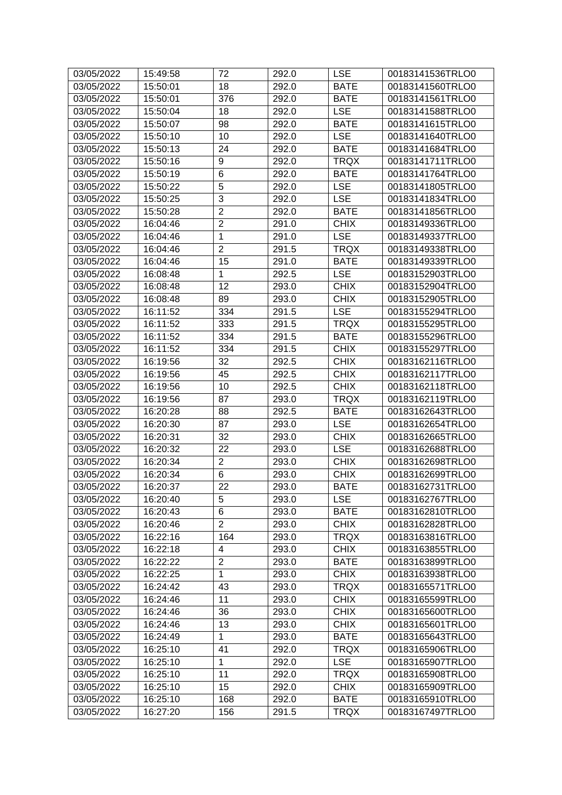| 03/05/2022 | 15:49:58 | 72             | 292.0 | <b>LSE</b>  | 00183141536TRLO0 |
|------------|----------|----------------|-------|-------------|------------------|
| 03/05/2022 | 15:50:01 | 18             | 292.0 | <b>BATE</b> | 00183141560TRLO0 |
| 03/05/2022 | 15:50:01 | 376            | 292.0 | <b>BATE</b> | 00183141561TRLO0 |
| 03/05/2022 | 15:50:04 | 18             | 292.0 | <b>LSE</b>  | 00183141588TRLO0 |
| 03/05/2022 | 15:50:07 | 98             | 292.0 | <b>BATE</b> | 00183141615TRLO0 |
| 03/05/2022 | 15:50:10 | 10             | 292.0 | <b>LSE</b>  | 00183141640TRLO0 |
| 03/05/2022 | 15:50:13 | 24             | 292.0 | <b>BATE</b> | 00183141684TRLO0 |
| 03/05/2022 | 15:50:16 | 9              | 292.0 | <b>TRQX</b> | 00183141711TRLO0 |
| 03/05/2022 | 15:50:19 | $\,6$          | 292.0 | <b>BATE</b> | 00183141764TRLO0 |
| 03/05/2022 | 15:50:22 | 5              | 292.0 | <b>LSE</b>  | 00183141805TRLO0 |
| 03/05/2022 | 15:50:25 | $\overline{3}$ | 292.0 | <b>LSE</b>  | 00183141834TRLO0 |
| 03/05/2022 | 15:50:28 | $\overline{2}$ | 292.0 | <b>BATE</b> | 00183141856TRLO0 |
| 03/05/2022 | 16:04:46 | $\overline{2}$ | 291.0 | <b>CHIX</b> | 00183149336TRLO0 |
| 03/05/2022 | 16:04:46 | 1              | 291.0 | <b>LSE</b>  | 00183149337TRLO0 |
| 03/05/2022 | 16:04:46 | $\mathbf 2$    | 291.5 | <b>TRQX</b> | 00183149338TRLO0 |
| 03/05/2022 | 16:04:46 | 15             | 291.0 | <b>BATE</b> | 00183149339TRLO0 |
| 03/05/2022 | 16:08:48 | $\mathbf{1}$   | 292.5 | <b>LSE</b>  | 00183152903TRLO0 |
| 03/05/2022 | 16:08:48 | 12             | 293.0 | <b>CHIX</b> | 00183152904TRLO0 |
| 03/05/2022 | 16:08:48 | 89             | 293.0 | <b>CHIX</b> | 00183152905TRLO0 |
| 03/05/2022 | 16:11:52 | 334            | 291.5 | <b>LSE</b>  | 00183155294TRLO0 |
| 03/05/2022 | 16:11:52 | 333            | 291.5 | <b>TRQX</b> | 00183155295TRLO0 |
| 03/05/2022 | 16:11:52 | 334            | 291.5 | <b>BATE</b> | 00183155296TRLO0 |
| 03/05/2022 | 16:11:52 | 334            | 291.5 | <b>CHIX</b> | 00183155297TRLO0 |
| 03/05/2022 | 16:19:56 | 32             | 292.5 | <b>CHIX</b> | 00183162116TRLO0 |
| 03/05/2022 | 16:19:56 | 45             | 292.5 | <b>CHIX</b> | 00183162117TRLO0 |
| 03/05/2022 | 16:19:56 | 10             | 292.5 | <b>CHIX</b> | 00183162118TRLO0 |
| 03/05/2022 | 16:19:56 | 87             | 293.0 | <b>TRQX</b> | 00183162119TRLO0 |
| 03/05/2022 | 16:20:28 | 88             | 292.5 | <b>BATE</b> | 00183162643TRLO0 |
| 03/05/2022 | 16:20:30 | 87             | 293.0 | <b>LSE</b>  | 00183162654TRLO0 |
| 03/05/2022 | 16:20:31 | 32             | 293.0 | <b>CHIX</b> | 00183162665TRLO0 |
| 03/05/2022 | 16:20:32 | 22             | 293.0 | <b>LSE</b>  | 00183162688TRLO0 |
| 03/05/2022 | 16:20:34 | $\overline{2}$ | 293.0 | <b>CHIX</b> | 00183162698TRLO0 |
| 03/05/2022 | 16:20:34 | $\overline{6}$ | 293.0 | <b>CHIX</b> | 00183162699TRLO0 |
| 03/05/2022 | 16:20:37 | 22             | 293.0 | <b>BATE</b> | 00183162731TRLO0 |
| 03/05/2022 | 16:20:40 | 5              | 293.0 | <b>LSE</b>  | 00183162767TRLO0 |
| 03/05/2022 | 16:20:43 | 6              | 293.0 | <b>BATE</b> | 00183162810TRLO0 |
| 03/05/2022 | 16:20:46 | $\overline{2}$ | 293.0 | <b>CHIX</b> | 00183162828TRLO0 |
| 03/05/2022 | 16:22:16 | 164            | 293.0 | <b>TRQX</b> | 00183163816TRLO0 |
| 03/05/2022 | 16:22:18 | 4              | 293.0 | <b>CHIX</b> | 00183163855TRLO0 |
| 03/05/2022 | 16:22:22 | $\overline{2}$ | 293.0 | <b>BATE</b> | 00183163899TRLO0 |
| 03/05/2022 | 16:22:25 | $\mathbf{1}$   | 293.0 | <b>CHIX</b> | 00183163938TRLO0 |
| 03/05/2022 | 16:24:42 | 43             | 293.0 | <b>TRQX</b> | 00183165571TRLO0 |
| 03/05/2022 | 16:24:46 | 11             | 293.0 | <b>CHIX</b> | 00183165599TRLO0 |
| 03/05/2022 | 16:24:46 | 36             | 293.0 | <b>CHIX</b> | 00183165600TRLO0 |
| 03/05/2022 | 16:24:46 | 13             | 293.0 | <b>CHIX</b> | 00183165601TRLO0 |
| 03/05/2022 | 16:24:49 | $\mathbf{1}$   | 293.0 | <b>BATE</b> | 00183165643TRLO0 |
| 03/05/2022 | 16:25:10 | 41             | 292.0 | <b>TRQX</b> | 00183165906TRLO0 |
| 03/05/2022 | 16:25:10 | $\mathbf 1$    | 292.0 | <b>LSE</b>  | 00183165907TRLO0 |
| 03/05/2022 | 16:25:10 | 11             | 292.0 | <b>TRQX</b> | 00183165908TRLO0 |
| 03/05/2022 | 16:25:10 | 15             | 292.0 | <b>CHIX</b> | 00183165909TRLO0 |
| 03/05/2022 | 16:25:10 | 168            | 292.0 | <b>BATE</b> | 00183165910TRLO0 |
| 03/05/2022 | 16:27:20 | 156            | 291.5 | <b>TRQX</b> | 00183167497TRLO0 |